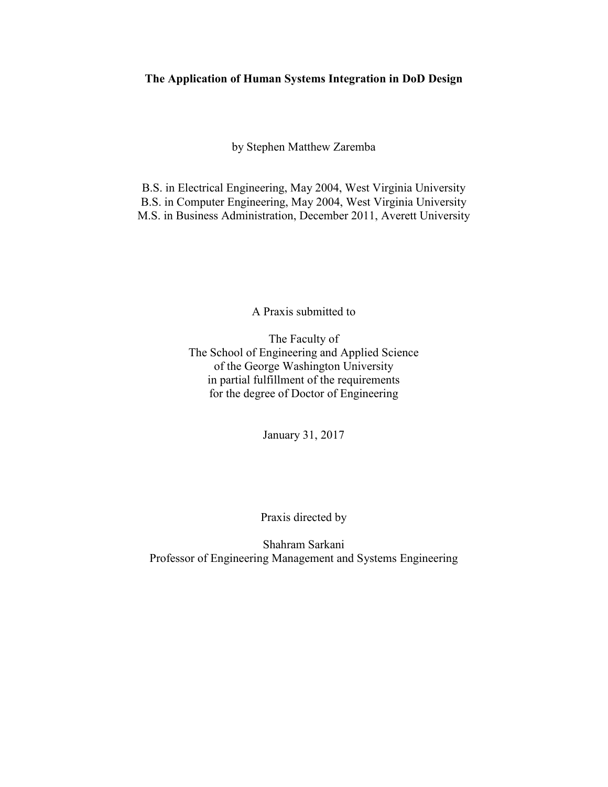# **The Application of Human Systems Integration in DoD Design**

by Stephen Matthew Zaremba

B.S. in Electrical Engineering, May 2004, West Virginia University B.S. in Computer Engineering, May 2004, West Virginia University M.S. in Business Administration, December 2011, Averett University

A Praxis submitted to

The Faculty of The School of Engineering and Applied Science of the George Washington University in partial fulfillment of the requirements for the degree of Doctor of Engineering

January 31, 2017

Praxis directed by

Shahram Sarkani Professor of Engineering Management and Systems Engineering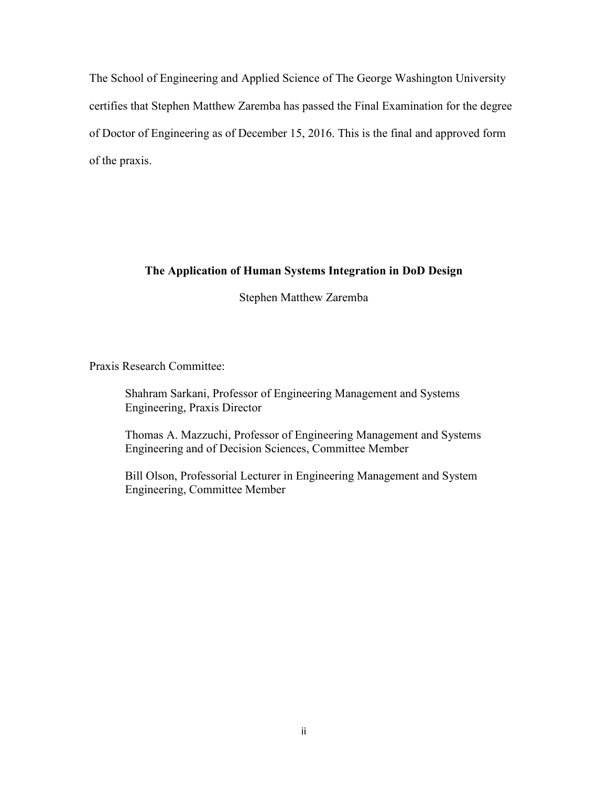The School of Engineering and Applied Science of The George Washington University certifies that Stephen Matthew Zaremba has passed the Final Examination for the degree of Doctor of Engineering as of December 15, 2016. This is the final and approved form of the praxis.

# **The Application of Human Systems Integration in DoD Design**

Stephen Matthew Zaremba

Praxis Research Committee:

Shahram Sarkani, Professor of Engineering Management and Systems Engineering, Praxis Director

Thomas A. Mazzuchi, Professor of Engineering Management and Systems Engineering and of Decision Sciences, Committee Member

Bill Olson, Professorial Lecturer in Engineering Management and System Engineering, Committee Member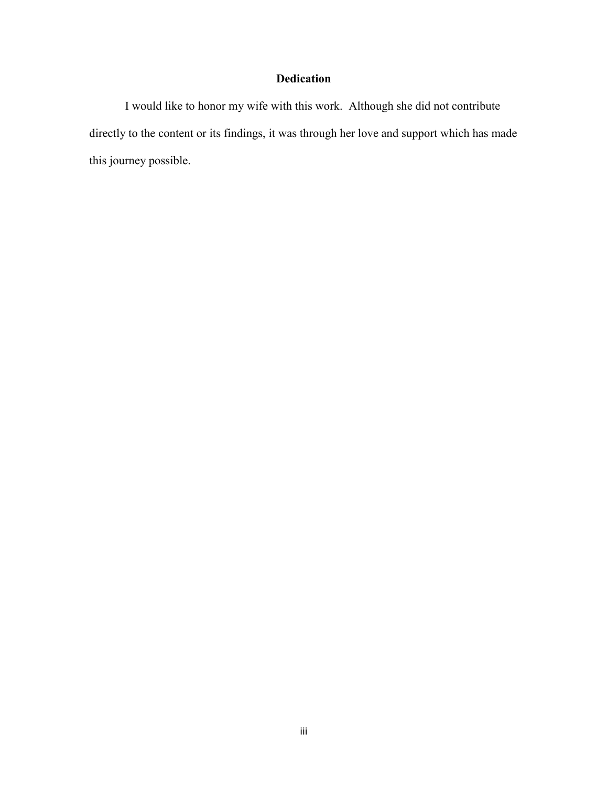# **Dedication**

 I would like to honor my wife with this work. Although she did not contribute directly to the content or its findings, it was through her love and support which has made this journey possible.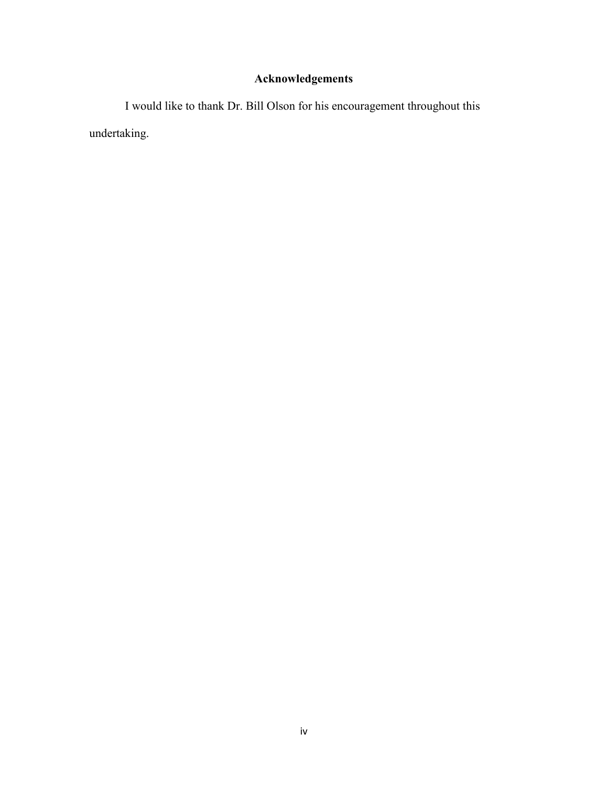# **Acknowledgements**

 I would like to thank Dr. Bill Olson for his encouragement throughout this undertaking.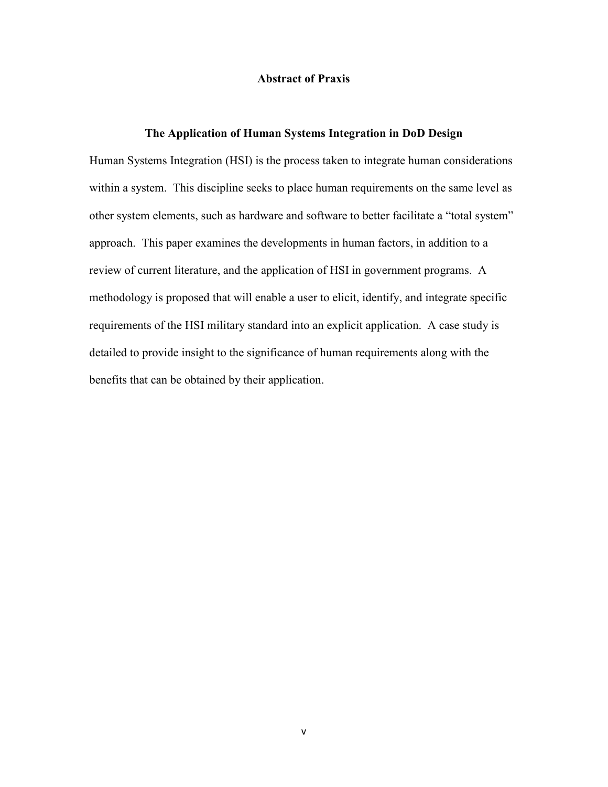# **Abstract of Praxis**

# **The Application of Human Systems Integration in DoD Design**

Human Systems Integration (HSI) is the process taken to integrate human considerations within a system. This discipline seeks to place human requirements on the same level as other system elements, such as hardware and software to better facilitate a "total system" approach. This paper examines the developments in human factors, in addition to a review of current literature, and the application of HSI in government programs. A methodology is proposed that will enable a user to elicit, identify, and integrate specific requirements of the HSI military standard into an explicit application. A case study is detailed to provide insight to the significance of human requirements along with the benefits that can be obtained by their application.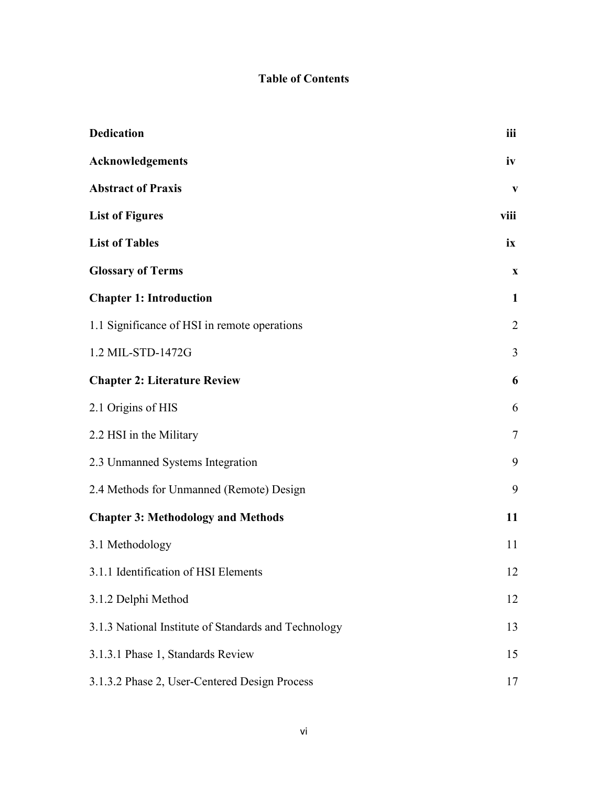# **Table of Contents**

| <b>Dedication</b>                                    | iii          |
|------------------------------------------------------|--------------|
| Acknowledgements                                     | iv           |
| <b>Abstract of Praxis</b>                            | V            |
| <b>List of Figures</b>                               | viii         |
| <b>List of Tables</b>                                | ix           |
| <b>Glossary of Terms</b>                             | $\mathbf{X}$ |
| <b>Chapter 1: Introduction</b>                       | $\mathbf{1}$ |
| 1.1 Significance of HSI in remote operations         | 2            |
| 1.2 MIL-STD-1472G                                    | 3            |
| <b>Chapter 2: Literature Review</b>                  | 6            |
| 2.1 Origins of HIS                                   | 6            |
| 2.2 HSI in the Military                              | 7            |
| 2.3 Unmanned Systems Integration                     | 9            |
| 2.4 Methods for Unmanned (Remote) Design             | 9            |
| <b>Chapter 3: Methodology and Methods</b>            | 11           |
| 3.1 Methodology                                      | 11           |
| 3.1.1 Identification of HSI Elements                 | 12           |
| 3.1.2 Delphi Method                                  | 12           |
| 3.1.3 National Institute of Standards and Technology | 13           |
| 3.1.3.1 Phase 1, Standards Review                    | 15           |
| 3.1.3.2 Phase 2, User-Centered Design Process        | 17           |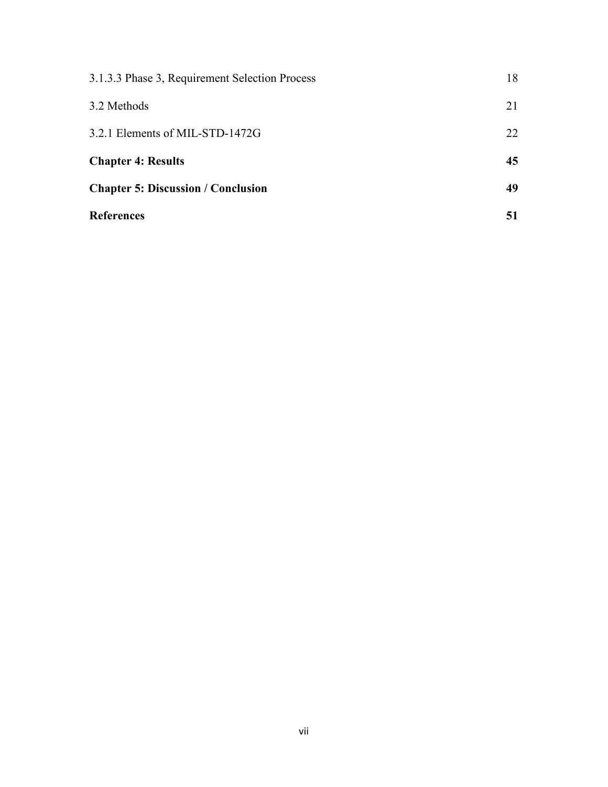| 3.1.3.3 Phase 3, Requirement Selection Process | 18 |
|------------------------------------------------|----|
| 3.2 Methods                                    | 21 |
| 3.2.1 Elements of MIL-STD-1472G                | 22 |
| <b>Chapter 4: Results</b>                      | 45 |
| <b>Chapter 5: Discussion / Conclusion</b>      | 49 |
| <b>References</b>                              | 51 |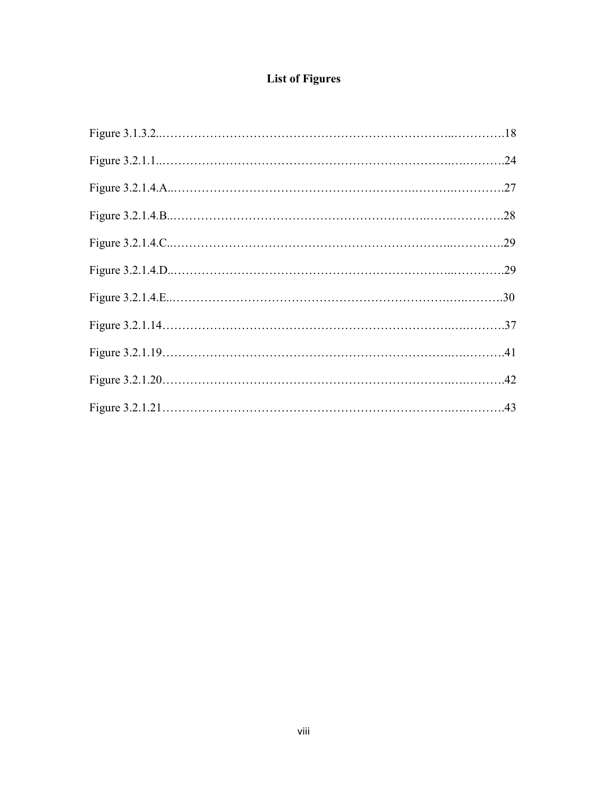# **List of Figures**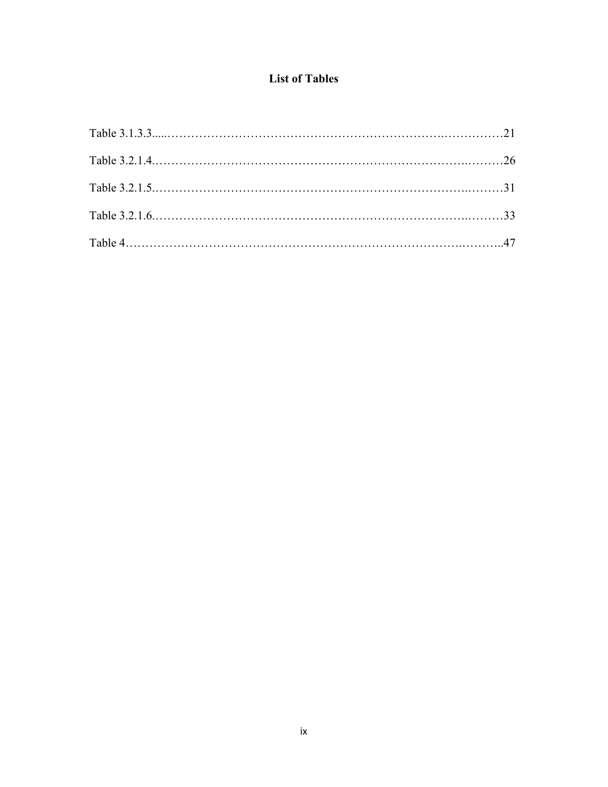# **List of Tables**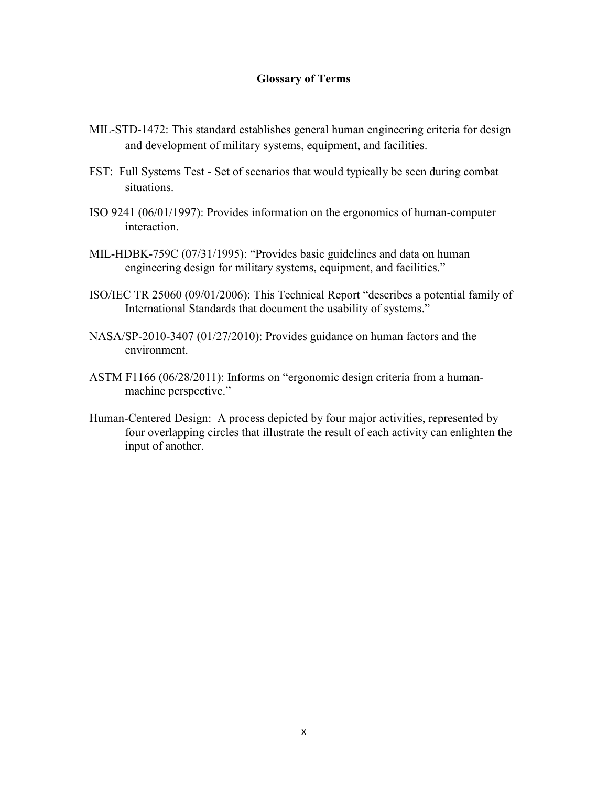# **Glossary of Terms**

- MIL-STD-1472: This standard establishes general human engineering criteria for design and development of military systems, equipment, and facilities.
- FST: Full Systems Test Set of scenarios that would typically be seen during combat situations.
- ISO 9241 (06/01/1997): Provides information on the ergonomics of human-computer interaction.
- MIL-HDBK-759C (07/31/1995): "Provides basic guidelines and data on human engineering design for military systems, equipment, and facilities."
- ISO/IEC TR 25060 (09/01/2006): This Technical Report "describes a potential family of International Standards that document the usability of systems."
- NASA/SP-2010-3407 (01/27/2010): Provides guidance on human factors and the environment.
- ASTM F1166 (06/28/2011): Informs on "ergonomic design criteria from a humanmachine perspective."
- Human-Centered Design: A process depicted by four major activities, represented by four overlapping circles that illustrate the result of each activity can enlighten the input of another.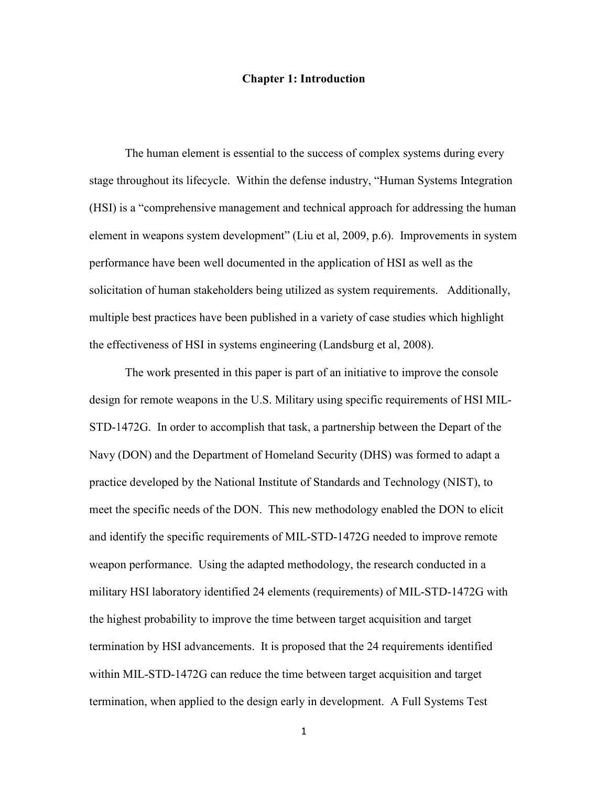# **Chapter 1: Introduction**

The human element is essential to the success of complex systems during every stage throughout its lifecycle. Within the defense industry, "Human Systems Integration (HSI) is a "comprehensive management and technical approach for addressing the human element in weapons system development" (Liu et al, 2009, p.6). Improvements in system performance have been well documented in the application of HSI as well as the solicitation of human stakeholders being utilized as system requirements. Additionally, multiple best practices have been published in a variety of case studies which highlight the effectiveness of HSI in systems engineering (Landsburg et al, 2008).

The work presented in this paper is part of an initiative to improve the console design for remote weapons in the U.S. Military using specific requirements of HSI MIL-STD-1472G. In order to accomplish that task, a partnership between the Depart of the Navy (DON) and the Department of Homeland Security (DHS) was formed to adapt a practice developed by the National Institute of Standards and Technology (NIST), to meet the specific needs of the DON. This new methodology enabled the DON to elicit and identify the specific requirements of MIL-STD-1472G needed to improve remote weapon performance. Using the adapted methodology, the research conducted in a military HSI laboratory identified 24 elements (requirements) of MIL-STD-1472G with the highest probability to improve the time between target acquisition and target termination by HSI advancements. It is proposed that the 24 requirements identified within MIL-STD-1472G can reduce the time between target acquisition and target termination, when applied to the design early in development. A Full Systems Test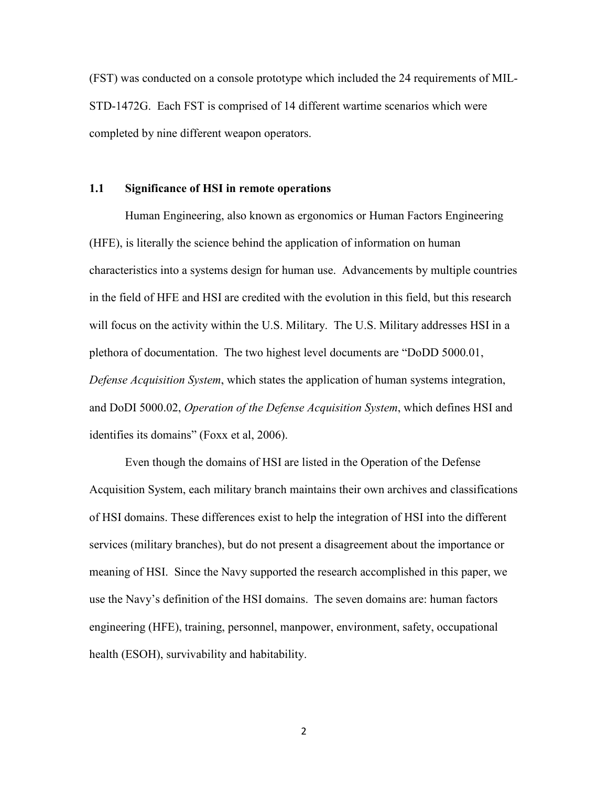(FST) was conducted on a console prototype which included the 24 requirements of MIL-STD-1472G. Each FST is comprised of 14 different wartime scenarios which were completed by nine different weapon operators.

# **1.1 Significance of HSI in remote operations**

 Human Engineering, also known as ergonomics or Human Factors Engineering (HFE), is literally the science behind the application of information on human characteristics into a systems design for human use. Advancements by multiple countries in the field of HFE and HSI are credited with the evolution in this field, but this research will focus on the activity within the U.S. Military. The U.S. Military addresses HSI in a plethora of documentation. The two highest level documents are "DoDD 5000.01, *Defense Acquisition System*, which states the application of human systems integration, and DoDI 5000.02, *Operation of the Defense Acquisition System*, which defines HSI and identifies its domains" (Foxx et al, 2006).

 Even though the domains of HSI are listed in the Operation of the Defense Acquisition System, each military branch maintains their own archives and classifications of HSI domains. These differences exist to help the integration of HSI into the different services (military branches), but do not present a disagreement about the importance or meaning of HSI. Since the Navy supported the research accomplished in this paper, we use the Navy's definition of the HSI domains. The seven domains are: human factors engineering (HFE), training, personnel, manpower, environment, safety, occupational health (ESOH), survivability and habitability.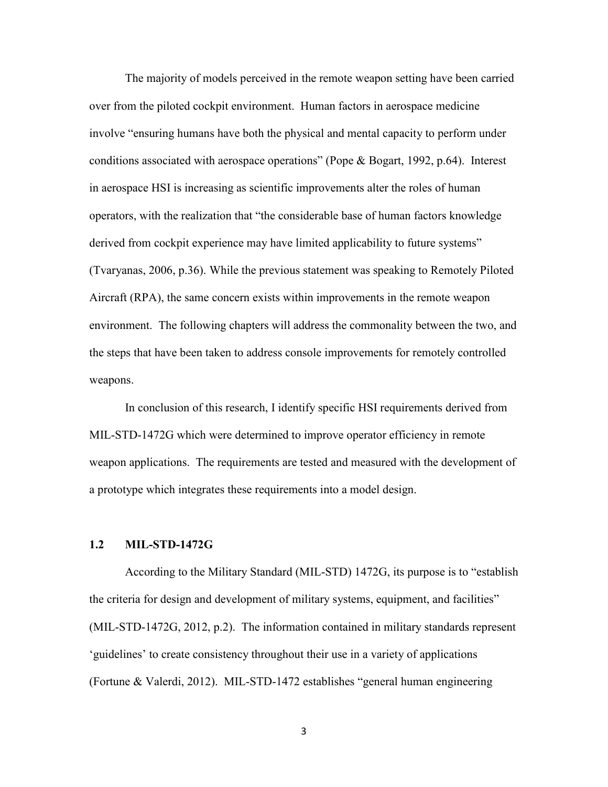The majority of models perceived in the remote weapon setting have been carried over from the piloted cockpit environment. Human factors in aerospace medicine involve "ensuring humans have both the physical and mental capacity to perform under conditions associated with aerospace operations" (Pope & Bogart, 1992, p.64). Interest in aerospace HSI is increasing as scientific improvements alter the roles of human operators, with the realization that "the considerable base of human factors knowledge derived from cockpit experience may have limited applicability to future systems" (Tvaryanas, 2006, p.36). While the previous statement was speaking to Remotely Piloted Aircraft (RPA), the same concern exists within improvements in the remote weapon environment. The following chapters will address the commonality between the two, and the steps that have been taken to address console improvements for remotely controlled weapons.

In conclusion of this research, I identify specific HSI requirements derived from MIL-STD-1472G which were determined to improve operator efficiency in remote weapon applications. The requirements are tested and measured with the development of a prototype which integrates these requirements into a model design.

# **1.2 MIL-STD-1472G**

According to the Military Standard (MIL-STD) 1472G, its purpose is to "establish the criteria for design and development of military systems, equipment, and facilities" (MIL-STD-1472G, 2012, p.2). The information contained in military standards represent 'guidelines' to create consistency throughout their use in a variety of applications (Fortune & Valerdi, 2012). MIL-STD-1472 establishes "general human engineering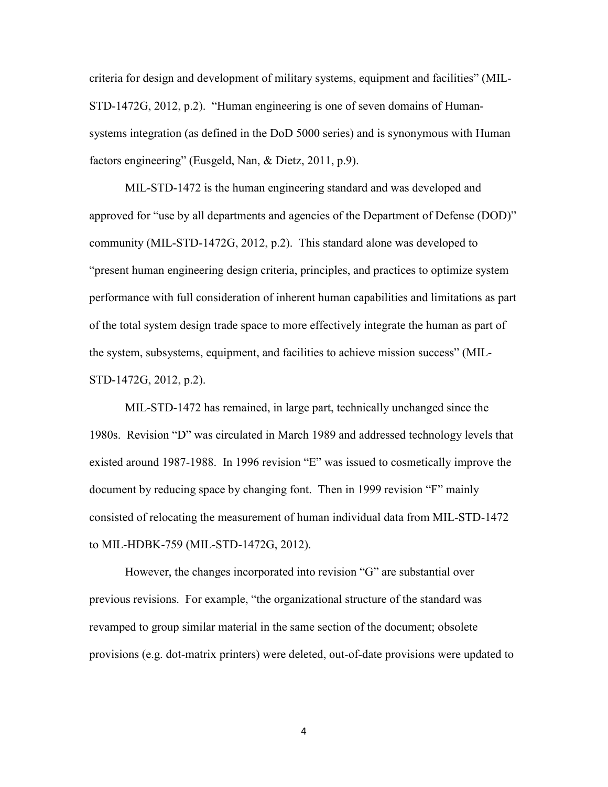criteria for design and development of military systems, equipment and facilities" (MIL-STD-1472G, 2012, p.2). "Human engineering is one of seven domains of Humansystems integration (as defined in the DoD 5000 series) and is synonymous with Human factors engineering" (Eusgeld, Nan, & Dietz, 2011, p.9).

MIL-STD-1472 is the human engineering standard and was developed and approved for "use by all departments and agencies of the Department of Defense (DOD)" community (MIL-STD-1472G, 2012, p.2). This standard alone was developed to "present human engineering design criteria, principles, and practices to optimize system performance with full consideration of inherent human capabilities and limitations as part of the total system design trade space to more effectively integrate the human as part of the system, subsystems, equipment, and facilities to achieve mission success" (MIL-STD-1472G, 2012, p.2).

 MIL-STD-1472 has remained, in large part, technically unchanged since the 1980s. Revision "D" was circulated in March 1989 and addressed technology levels that existed around 1987-1988. In 1996 revision "E" was issued to cosmetically improve the document by reducing space by changing font. Then in 1999 revision "F" mainly consisted of relocating the measurement of human individual data from MIL-STD-1472 to MIL-HDBK-759 (MIL-STD-1472G, 2012).

 However, the changes incorporated into revision "G" are substantial over previous revisions. For example, "the organizational structure of the standard was revamped to group similar material in the same section of the document; obsolete provisions (e.g. dot-matrix printers) were deleted, out-of-date provisions were updated to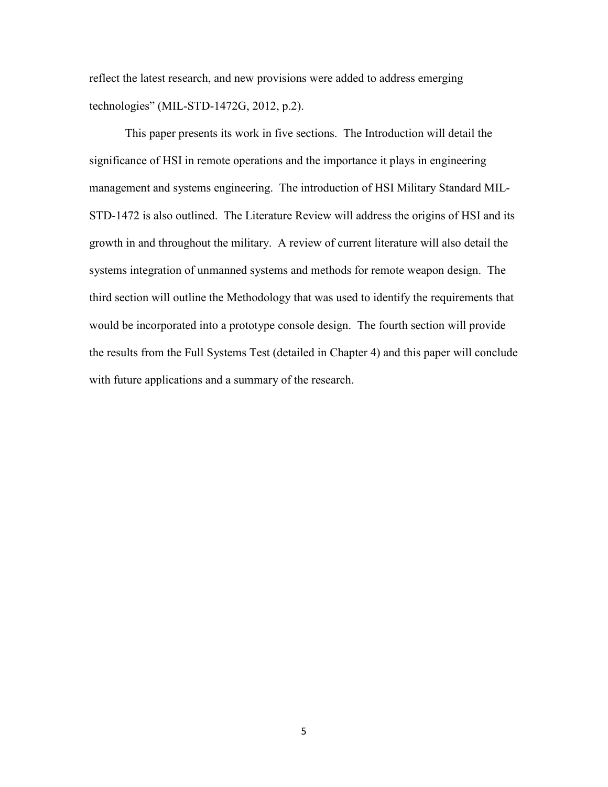reflect the latest research, and new provisions were added to address emerging technologies" (MIL-STD-1472G, 2012, p.2).

This paper presents its work in five sections. The Introduction will detail the significance of HSI in remote operations and the importance it plays in engineering management and systems engineering. The introduction of HSI Military Standard MIL-STD-1472 is also outlined. The Literature Review will address the origins of HSI and its growth in and throughout the military. A review of current literature will also detail the systems integration of unmanned systems and methods for remote weapon design. The third section will outline the Methodology that was used to identify the requirements that would be incorporated into a prototype console design. The fourth section will provide the results from the Full Systems Test (detailed in Chapter 4) and this paper will conclude with future applications and a summary of the research.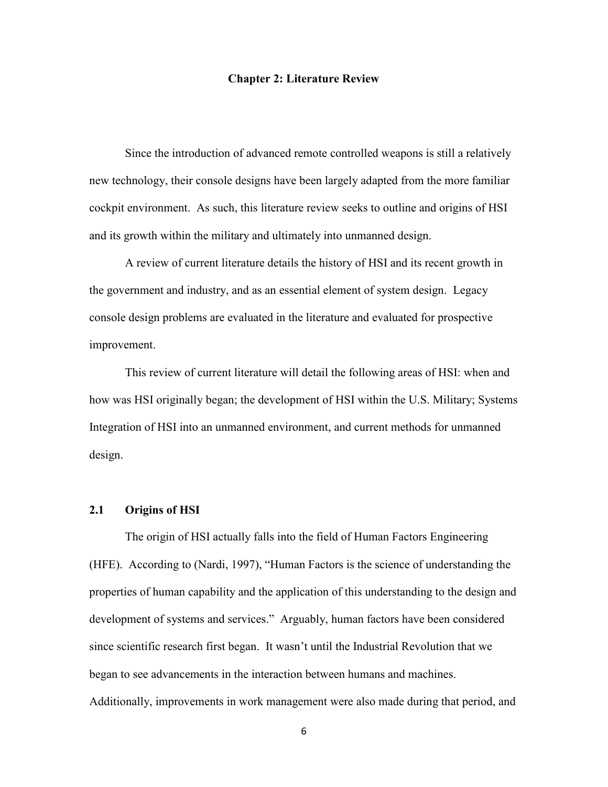# **Chapter 2: Literature Review**

Since the introduction of advanced remote controlled weapons is still a relatively new technology, their console designs have been largely adapted from the more familiar cockpit environment. As such, this literature review seeks to outline and origins of HSI and its growth within the military and ultimately into unmanned design.

A review of current literature details the history of HSI and its recent growth in the government and industry, and as an essential element of system design. Legacy console design problems are evaluated in the literature and evaluated for prospective improvement.

This review of current literature will detail the following areas of HSI: when and how was HSI originally began; the development of HSI within the U.S. Military; Systems Integration of HSI into an unmanned environment, and current methods for unmanned design.

# **2.1 Origins of HSI**

The origin of HSI actually falls into the field of Human Factors Engineering (HFE). According to (Nardi, 1997), "Human Factors is the science of understanding the properties of human capability and the application of this understanding to the design and development of systems and services." Arguably, human factors have been considered since scientific research first began. It wasn't until the Industrial Revolution that we began to see advancements in the interaction between humans and machines. Additionally, improvements in work management were also made during that period, and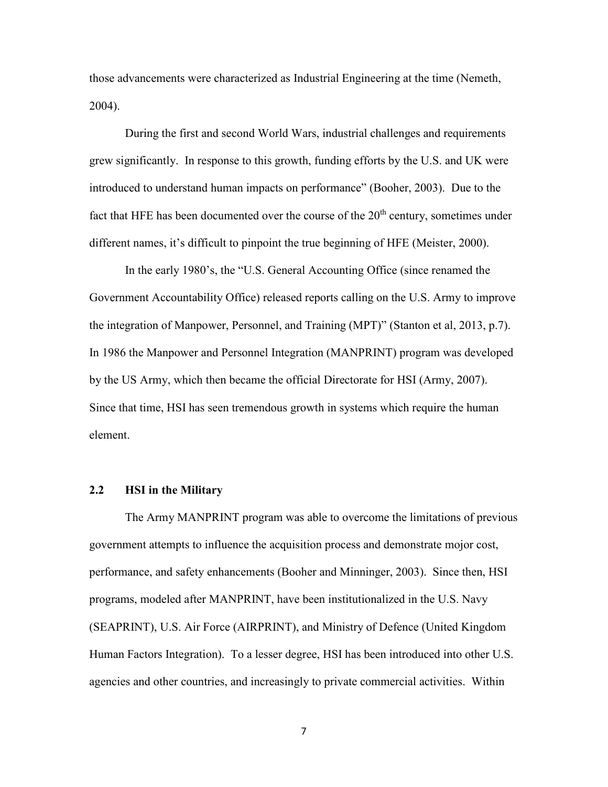those advancements were characterized as Industrial Engineering at the time (Nemeth, 2004).

During the first and second World Wars, industrial challenges and requirements grew significantly. In response to this growth, funding efforts by the U.S. and UK were introduced to understand human impacts on performance" (Booher, 2003). Due to the fact that HFE has been documented over the course of the  $20<sup>th</sup>$  century, sometimes under different names, it's difficult to pinpoint the true beginning of HFE (Meister, 2000).

In the early 1980's, the "U.S. General Accounting Office (since renamed the Government Accountability Office) released reports calling on the U.S. Army to improve the integration of Manpower, Personnel, and Training (MPT)" (Stanton et al, 2013, p.7). In 1986 the Manpower and Personnel Integration (MANPRINT) program was developed by the US Army, which then became the official Directorate for HSI (Army, 2007). Since that time, HSI has seen tremendous growth in systems which require the human element.

# **2.2 HSI in the Military**

The Army MANPRINT program was able to overcome the limitations of previous government attempts to influence the acquisition process and demonstrate mojor cost, performance, and safety enhancements (Booher and Minninger, 2003). Since then, HSI programs, modeled after MANPRINT, have been institutionalized in the U.S. Navy (SEAPRINT), U.S. Air Force (AIRPRINT), and Ministry of Defence (United Kingdom Human Factors Integration). To a lesser degree, HSI has been introduced into other U.S. agencies and other countries, and increasingly to private commercial activities. Within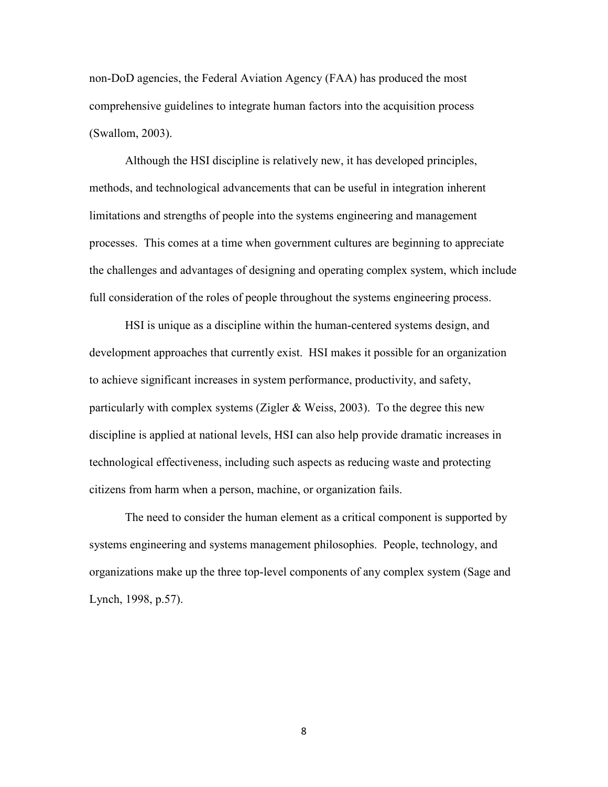non-DoD agencies, the Federal Aviation Agency (FAA) has produced the most comprehensive guidelines to integrate human factors into the acquisition process (Swallom, 2003).

Although the HSI discipline is relatively new, it has developed principles, methods, and technological advancements that can be useful in integration inherent limitations and strengths of people into the systems engineering and management processes. This comes at a time when government cultures are beginning to appreciate the challenges and advantages of designing and operating complex system, which include full consideration of the roles of people throughout the systems engineering process.

HSI is unique as a discipline within the human-centered systems design, and development approaches that currently exist. HSI makes it possible for an organization to achieve significant increases in system performance, productivity, and safety, particularly with complex systems (Zigler & Weiss, 2003). To the degree this new discipline is applied at national levels, HSI can also help provide dramatic increases in technological effectiveness, including such aspects as reducing waste and protecting citizens from harm when a person, machine, or organization fails.

The need to consider the human element as a critical component is supported by systems engineering and systems management philosophies. People, technology, and organizations make up the three top-level components of any complex system (Sage and Lynch, 1998, p.57).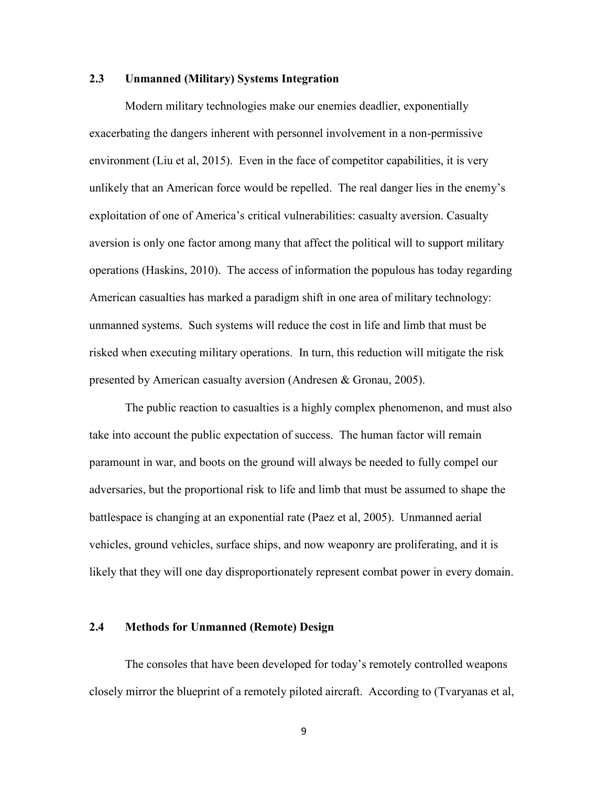# **2.3 Unmanned (Military) Systems Integration**

Modern military technologies make our enemies deadlier, exponentially exacerbating the dangers inherent with personnel involvement in a non-permissive environment (Liu et al, 2015). Even in the face of competitor capabilities, it is very unlikely that an American force would be repelled. The real danger lies in the enemy's exploitation of one of America's critical vulnerabilities: casualty aversion. Casualty aversion is only one factor among many that affect the political will to support military operations (Haskins, 2010). The access of information the populous has today regarding American casualties has marked a paradigm shift in one area of military technology: unmanned systems. Such systems will reduce the cost in life and limb that must be risked when executing military operations. In turn, this reduction will mitigate the risk presented by American casualty aversion (Andresen & Gronau, 2005).

 The public reaction to casualties is a highly complex phenomenon, and must also take into account the public expectation of success. The human factor will remain paramount in war, and boots on the ground will always be needed to fully compel our adversaries, but the proportional risk to life and limb that must be assumed to shape the battlespace is changing at an exponential rate (Paez et al, 2005). Unmanned aerial vehicles, ground vehicles, surface ships, and now weaponry are proliferating, and it is likely that they will one day disproportionately represent combat power in every domain.

# **2.4 Methods for Unmanned (Remote) Design**

 The consoles that have been developed for today's remotely controlled weapons closely mirror the blueprint of a remotely piloted aircraft. According to (Tvaryanas et al,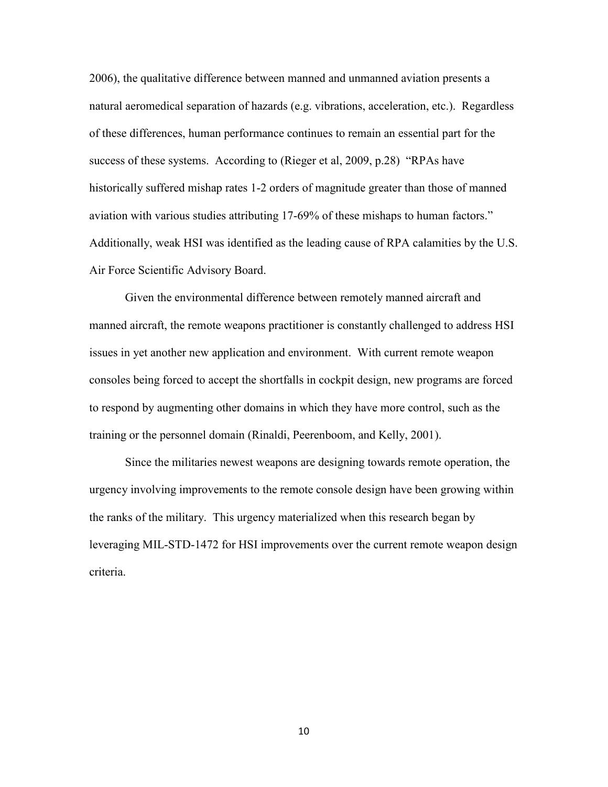2006), the qualitative difference between manned and unmanned aviation presents a natural aeromedical separation of hazards (e.g. vibrations, acceleration, etc.). Regardless of these differences, human performance continues to remain an essential part for the success of these systems. According to (Rieger et al, 2009, p.28) "RPAs have historically suffered mishap rates 1-2 orders of magnitude greater than those of manned aviation with various studies attributing 17-69% of these mishaps to human factors." Additionally, weak HSI was identified as the leading cause of RPA calamities by the U.S. Air Force Scientific Advisory Board.

 Given the environmental difference between remotely manned aircraft and manned aircraft, the remote weapons practitioner is constantly challenged to address HSI issues in yet another new application and environment. With current remote weapon consoles being forced to accept the shortfalls in cockpit design, new programs are forced to respond by augmenting other domains in which they have more control, such as the training or the personnel domain (Rinaldi, Peerenboom, and Kelly, 2001).

 Since the militaries newest weapons are designing towards remote operation, the urgency involving improvements to the remote console design have been growing within the ranks of the military. This urgency materialized when this research began by leveraging MIL-STD-1472 for HSI improvements over the current remote weapon design criteria.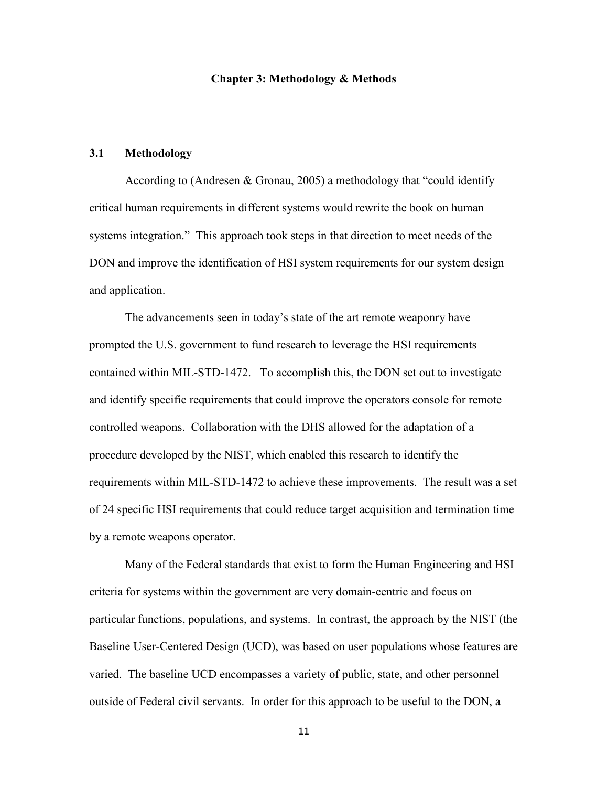#### **Chapter 3: Methodology & Methods**

# **3.1 Methodology**

According to (Andresen & Gronau, 2005) a methodology that "could identify critical human requirements in different systems would rewrite the book on human systems integration." This approach took steps in that direction to meet needs of the DON and improve the identification of HSI system requirements for our system design and application.

The advancements seen in today's state of the art remote weaponry have prompted the U.S. government to fund research to leverage the HSI requirements contained within MIL-STD-1472. To accomplish this, the DON set out to investigate and identify specific requirements that could improve the operators console for remote controlled weapons. Collaboration with the DHS allowed for the adaptation of a procedure developed by the NIST, which enabled this research to identify the requirements within MIL-STD-1472 to achieve these improvements. The result was a set of 24 specific HSI requirements that could reduce target acquisition and termination time by a remote weapons operator.

 Many of the Federal standards that exist to form the Human Engineering and HSI criteria for systems within the government are very domain-centric and focus on particular functions, populations, and systems. In contrast, the approach by the NIST (the Baseline User-Centered Design (UCD), was based on user populations whose features are varied. The baseline UCD encompasses a variety of public, state, and other personnel outside of Federal civil servants. In order for this approach to be useful to the DON, a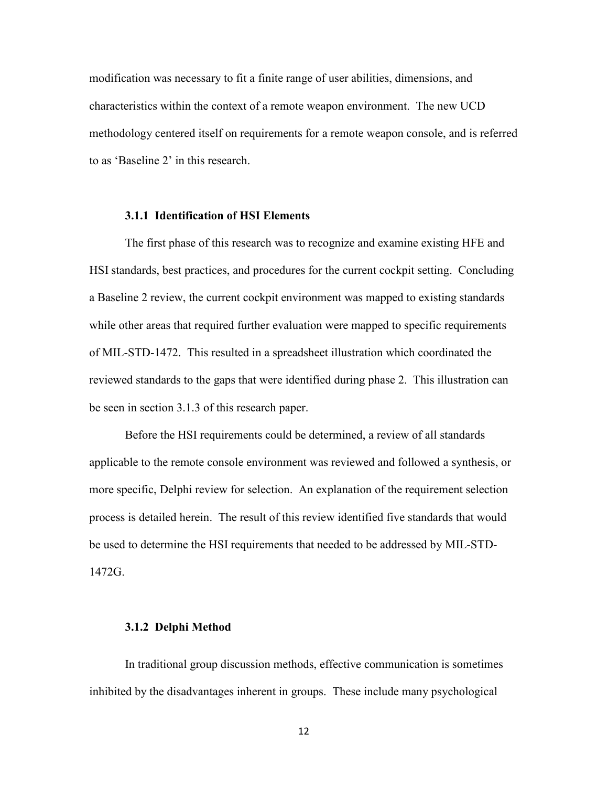modification was necessary to fit a finite range of user abilities, dimensions, and characteristics within the context of a remote weapon environment. The new UCD methodology centered itself on requirements for a remote weapon console, and is referred to as 'Baseline 2' in this research.

# **3.1.1 Identification of HSI Elements**

The first phase of this research was to recognize and examine existing HFE and HSI standards, best practices, and procedures for the current cockpit setting. Concluding a Baseline 2 review, the current cockpit environment was mapped to existing standards while other areas that required further evaluation were mapped to specific requirements of MIL-STD-1472. This resulted in a spreadsheet illustration which coordinated the reviewed standards to the gaps that were identified during phase 2. This illustration can be seen in section 3.1.3 of this research paper.

Before the HSI requirements could be determined, a review of all standards applicable to the remote console environment was reviewed and followed a synthesis, or more specific, Delphi review for selection. An explanation of the requirement selection process is detailed herein. The result of this review identified five standards that would be used to determine the HSI requirements that needed to be addressed by MIL-STD-1472G.

#### **3.1.2 Delphi Method**

In traditional group discussion methods, effective communication is sometimes inhibited by the disadvantages inherent in groups. These include many psychological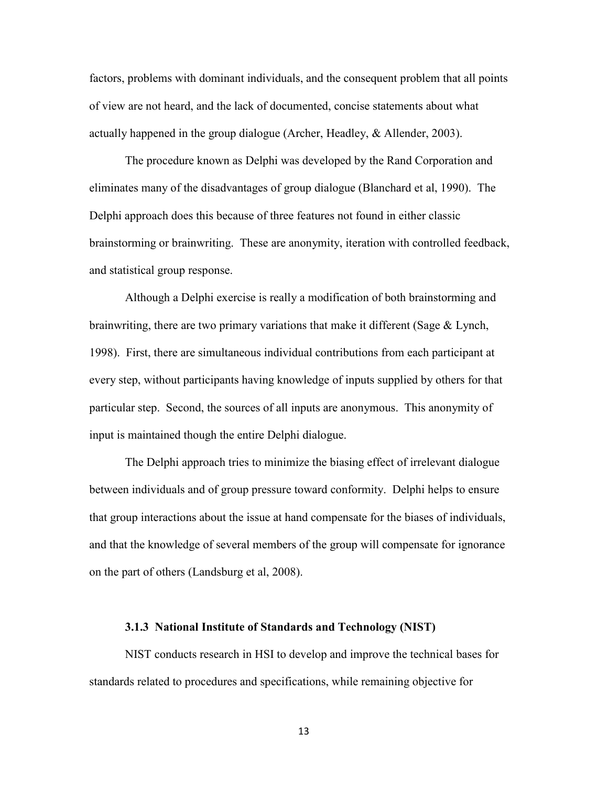factors, problems with dominant individuals, and the consequent problem that all points of view are not heard, and the lack of documented, concise statements about what actually happened in the group dialogue (Archer, Headley, & Allender, 2003).

 The procedure known as Delphi was developed by the Rand Corporation and eliminates many of the disadvantages of group dialogue (Blanchard et al, 1990). The Delphi approach does this because of three features not found in either classic brainstorming or brainwriting. These are anonymity, iteration with controlled feedback, and statistical group response.

 Although a Delphi exercise is really a modification of both brainstorming and brainwriting, there are two primary variations that make it different (Sage  $\&$  Lynch, 1998). First, there are simultaneous individual contributions from each participant at every step, without participants having knowledge of inputs supplied by others for that particular step. Second, the sources of all inputs are anonymous. This anonymity of input is maintained though the entire Delphi dialogue.

 The Delphi approach tries to minimize the biasing effect of irrelevant dialogue between individuals and of group pressure toward conformity. Delphi helps to ensure that group interactions about the issue at hand compensate for the biases of individuals, and that the knowledge of several members of the group will compensate for ignorance on the part of others (Landsburg et al, 2008).

#### **3.1.3 National Institute of Standards and Technology (NIST)**

NIST conducts research in HSI to develop and improve the technical bases for standards related to procedures and specifications, while remaining objective for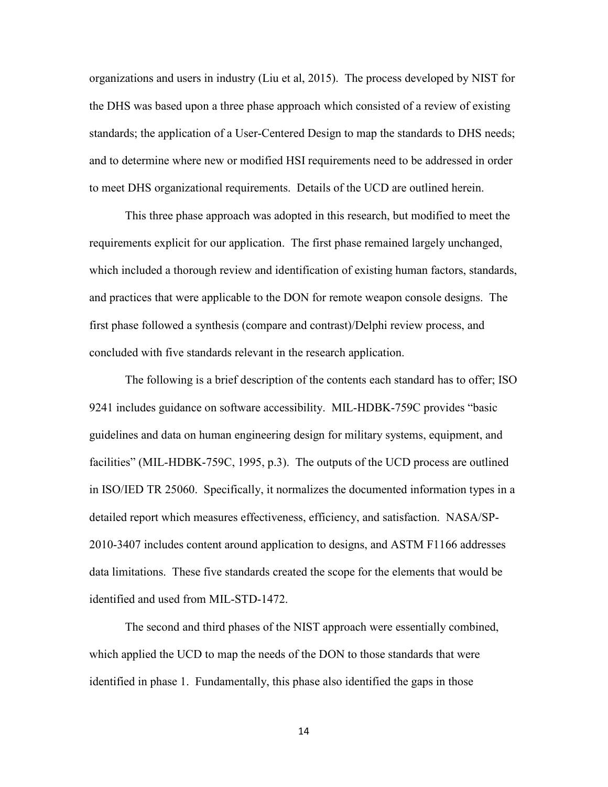organizations and users in industry (Liu et al, 2015). The process developed by NIST for the DHS was based upon a three phase approach which consisted of a review of existing standards; the application of a User-Centered Design to map the standards to DHS needs; and to determine where new or modified HSI requirements need to be addressed in order to meet DHS organizational requirements. Details of the UCD are outlined herein.

This three phase approach was adopted in this research, but modified to meet the requirements explicit for our application. The first phase remained largely unchanged, which included a thorough review and identification of existing human factors, standards, and practices that were applicable to the DON for remote weapon console designs. The first phase followed a synthesis (compare and contrast)/Delphi review process, and concluded with five standards relevant in the research application.

The following is a brief description of the contents each standard has to offer; ISO 9241 includes guidance on software accessibility. MIL-HDBK-759C provides "basic guidelines and data on human engineering design for military systems, equipment, and facilities" (MIL-HDBK-759C, 1995, p.3). The outputs of the UCD process are outlined in ISO/IED TR 25060. Specifically, it normalizes the documented information types in a detailed report which measures effectiveness, efficiency, and satisfaction. NASA/SP-2010-3407 includes content around application to designs, and ASTM F1166 addresses data limitations. These five standards created the scope for the elements that would be identified and used from MIL-STD-1472.

The second and third phases of the NIST approach were essentially combined, which applied the UCD to map the needs of the DON to those standards that were identified in phase 1. Fundamentally, this phase also identified the gaps in those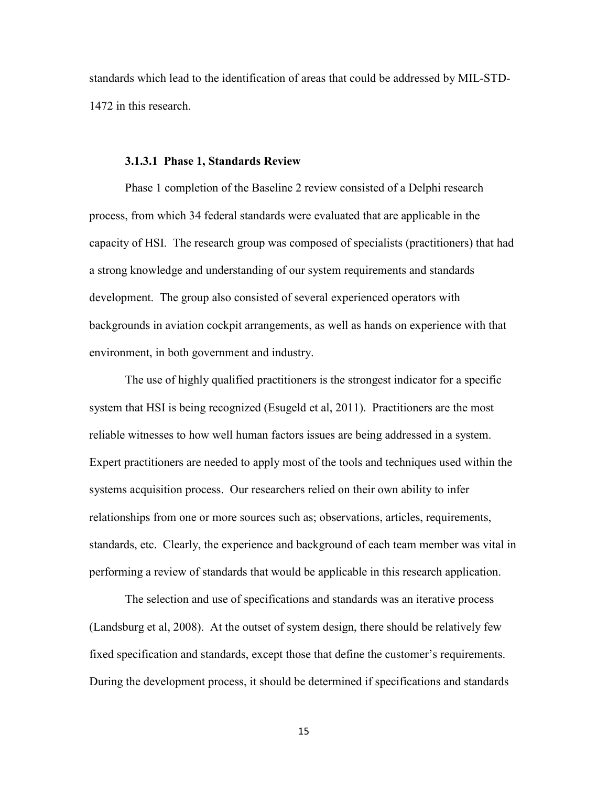standards which lead to the identification of areas that could be addressed by MIL-STD-1472 in this research.

#### **3.1.3.1 Phase 1, Standards Review**

Phase 1 completion of the Baseline 2 review consisted of a Delphi research process, from which 34 federal standards were evaluated that are applicable in the capacity of HSI. The research group was composed of specialists (practitioners) that had a strong knowledge and understanding of our system requirements and standards development. The group also consisted of several experienced operators with backgrounds in aviation cockpit arrangements, as well as hands on experience with that environment, in both government and industry.

The use of highly qualified practitioners is the strongest indicator for a specific system that HSI is being recognized (Esugeld et al, 2011). Practitioners are the most reliable witnesses to how well human factors issues are being addressed in a system. Expert practitioners are needed to apply most of the tools and techniques used within the systems acquisition process. Our researchers relied on their own ability to infer relationships from one or more sources such as; observations, articles, requirements, standards, etc. Clearly, the experience and background of each team member was vital in performing a review of standards that would be applicable in this research application.

The selection and use of specifications and standards was an iterative process (Landsburg et al, 2008). At the outset of system design, there should be relatively few fixed specification and standards, except those that define the customer's requirements. During the development process, it should be determined if specifications and standards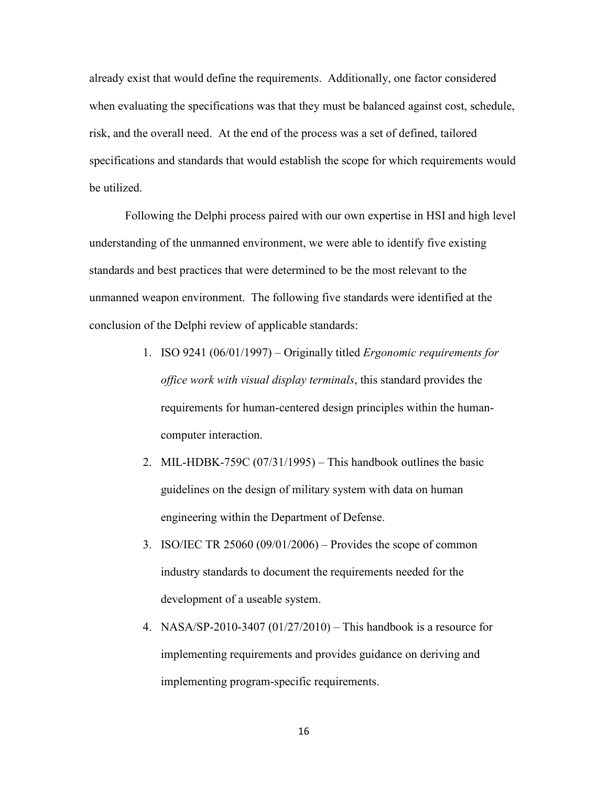already exist that would define the requirements. Additionally, one factor considered when evaluating the specifications was that they must be balanced against cost, schedule, risk, and the overall need. At the end of the process was a set of defined, tailored specifications and standards that would establish the scope for which requirements would be utilized.

Following the Delphi process paired with our own expertise in HSI and high level understanding of the unmanned environment, we were able to identify five existing standards and best practices that were determined to be the most relevant to the unmanned weapon environment. The following five standards were identified at the conclusion of the Delphi review of applicable standards:

- 1. ISO 9241 (06/01/1997) Originally titled *Ergonomic requirements for office work with visual display terminals*, this standard provides the requirements for human-centered design principles within the humancomputer interaction.
- 2. MIL-HDBK-759C (07/31/1995) This handbook outlines the basic guidelines on the design of military system with data on human engineering within the Department of Defense.
- 3. ISO/IEC TR 25060 (09/01/2006) Provides the scope of common industry standards to document the requirements needed for the development of a useable system.
- 4. NASA/SP-2010-3407 (01/27/2010) This handbook is a resource for implementing requirements and provides guidance on deriving and implementing program-specific requirements.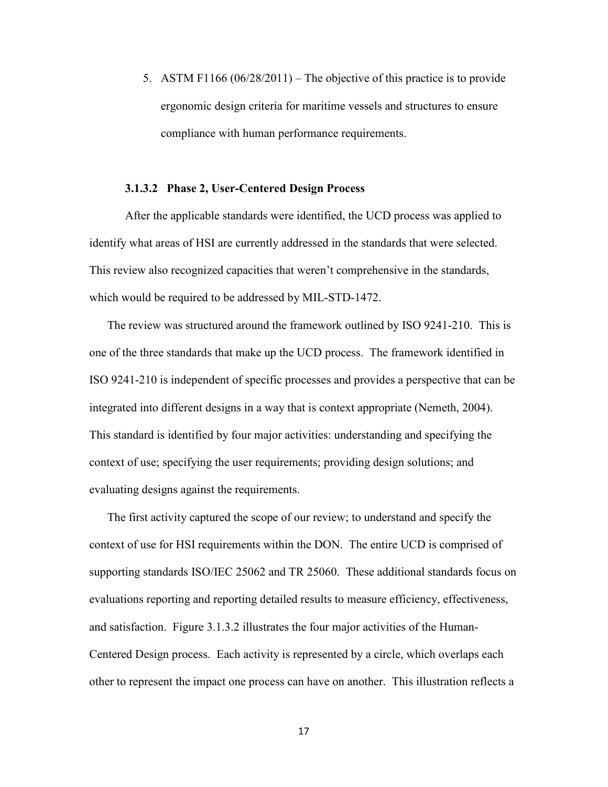5. ASTM F1166 (06/28/2011) – The objective of this practice is to provide ergonomic design criteria for maritime vessels and structures to ensure compliance with human performance requirements.

# **3.1.3.2 Phase 2, User-Centered Design Process**

 After the applicable standards were identified, the UCD process was applied to identify what areas of HSI are currently addressed in the standards that were selected. This review also recognized capacities that weren't comprehensive in the standards, which would be required to be addressed by MIL-STD-1472.

The review was structured around the framework outlined by ISO 9241-210. This is one of the three standards that make up the UCD process. The framework identified in ISO 9241-210 is independent of specific processes and provides a perspective that can be integrated into different designs in a way that is context appropriate (Nemeth, 2004). This standard is identified by four major activities: understanding and specifying the context of use; specifying the user requirements; providing design solutions; and evaluating designs against the requirements.

The first activity captured the scope of our review; to understand and specify the context of use for HSI requirements within the DON. The entire UCD is comprised of supporting standards ISO/IEC 25062 and TR 25060. These additional standards focus on evaluations reporting and reporting detailed results to measure efficiency, effectiveness, and satisfaction. Figure 3.1.3.2 illustrates the four major activities of the Human-Centered Design process. Each activity is represented by a circle, which overlaps each other to represent the impact one process can have on another. This illustration reflects a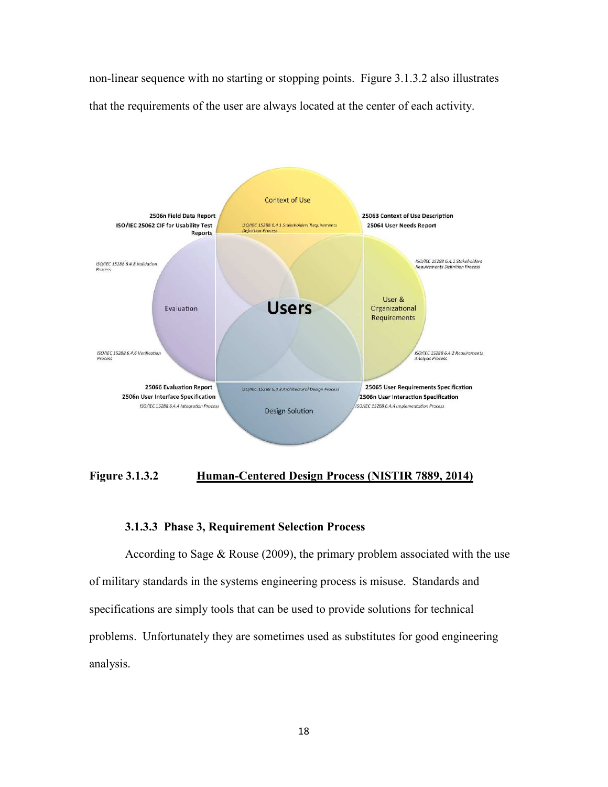non-linear sequence with no starting or stopping points. Figure 3.1.3.2 also illustrates that the requirements of the user are always located at the center of each activity.



**Figure 3.1.3.2 Human-Centered Design Process (NISTIR 7889, 2014)** 

# **3.1.3.3 Phase 3, Requirement Selection Process**

According to Sage & Rouse (2009), the primary problem associated with the use of military standards in the systems engineering process is misuse. Standards and specifications are simply tools that can be used to provide solutions for technical problems. Unfortunately they are sometimes used as substitutes for good engineering analysis.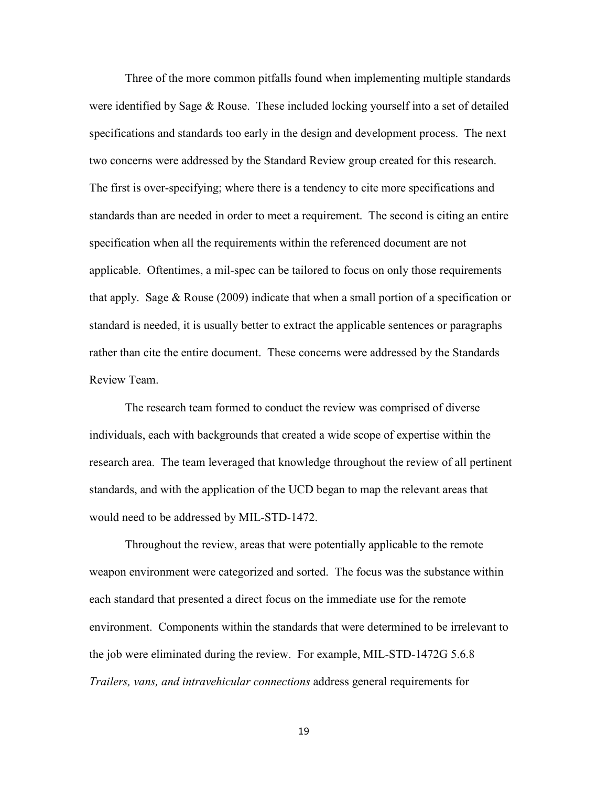Three of the more common pitfalls found when implementing multiple standards were identified by Sage & Rouse. These included locking yourself into a set of detailed specifications and standards too early in the design and development process. The next two concerns were addressed by the Standard Review group created for this research. The first is over-specifying; where there is a tendency to cite more specifications and standards than are needed in order to meet a requirement. The second is citing an entire specification when all the requirements within the referenced document are not applicable. Oftentimes, a mil-spec can be tailored to focus on only those requirements that apply. Sage & Rouse (2009) indicate that when a small portion of a specification or standard is needed, it is usually better to extract the applicable sentences or paragraphs rather than cite the entire document. These concerns were addressed by the Standards Review Team.

 The research team formed to conduct the review was comprised of diverse individuals, each with backgrounds that created a wide scope of expertise within the research area. The team leveraged that knowledge throughout the review of all pertinent standards, and with the application of the UCD began to map the relevant areas that would need to be addressed by MIL-STD-1472.

 Throughout the review, areas that were potentially applicable to the remote weapon environment were categorized and sorted. The focus was the substance within each standard that presented a direct focus on the immediate use for the remote environment. Components within the standards that were determined to be irrelevant to the job were eliminated during the review. For example, MIL-STD-1472G 5.6.8 *Trailers, vans, and intravehicular connections* address general requirements for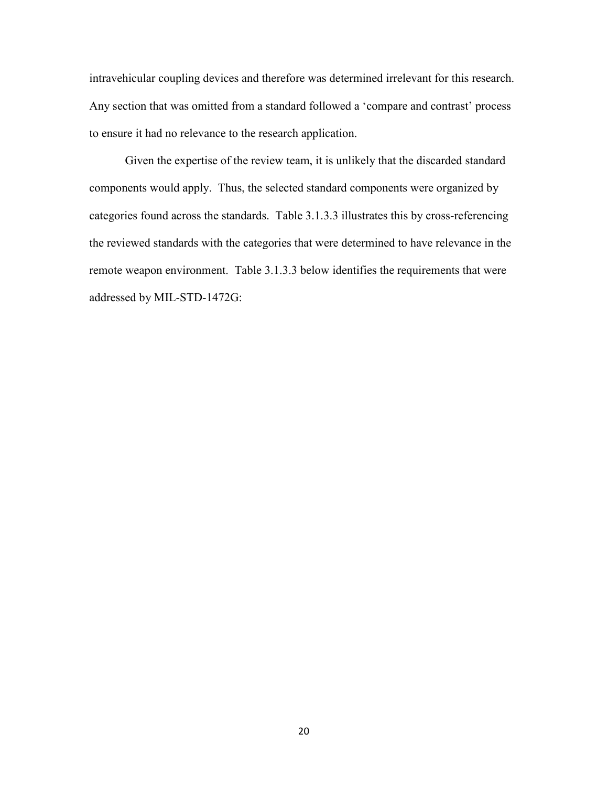intravehicular coupling devices and therefore was determined irrelevant for this research. Any section that was omitted from a standard followed a 'compare and contrast' process to ensure it had no relevance to the research application.

Given the expertise of the review team, it is unlikely that the discarded standard components would apply. Thus, the selected standard components were organized by categories found across the standards. Table 3.1.3.3 illustrates this by cross-referencing the reviewed standards with the categories that were determined to have relevance in the remote weapon environment. Table 3.1.3.3 below identifies the requirements that were addressed by MIL-STD-1472G: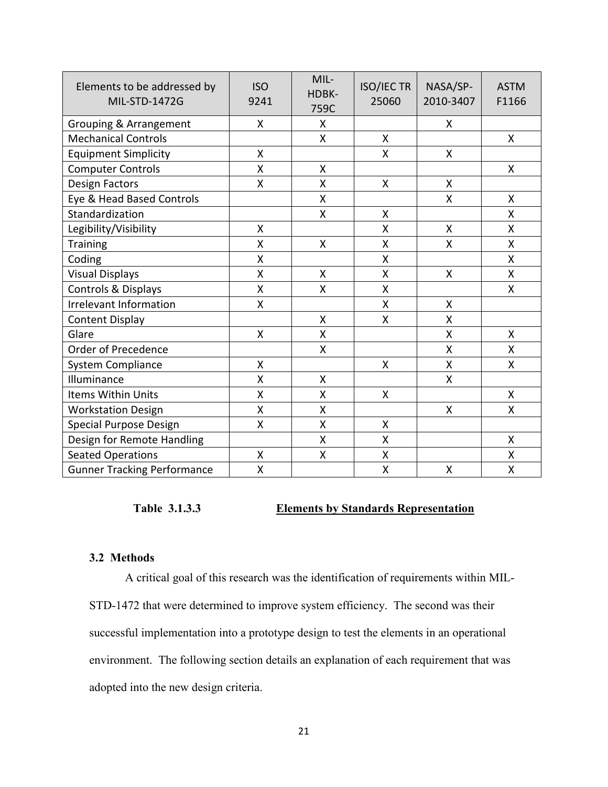| Elements to be addressed by<br><b>MIL-STD-1472G</b> | <b>ISO</b><br>9241 | MIL-<br>HDBK-<br>759C | <b>ISO/IEC TR</b><br>25060 | NASA/SP-<br>2010-3407 | <b>ASTM</b><br>F1166 |
|-----------------------------------------------------|--------------------|-----------------------|----------------------------|-----------------------|----------------------|
| Grouping & Arrangement                              | X                  | X                     |                            | Χ                     |                      |
| <b>Mechanical Controls</b>                          |                    | $\mathsf{X}$          | X                          |                       | $\mathsf{X}$         |
| <b>Equipment Simplicity</b>                         | X                  |                       | X                          | X                     |                      |
| <b>Computer Controls</b>                            | X                  | X                     |                            |                       | $\mathsf{X}$         |
| Design Factors                                      | X                  | X                     | X                          | X                     |                      |
| Eye & Head Based Controls                           |                    | X                     |                            | Χ                     | X                    |
| Standardization                                     |                    | Χ                     | Χ                          |                       | Χ                    |
| Legibility/Visibility                               | X                  |                       | Χ                          | X                     | X                    |
| Training                                            | X                  | X                     | Χ                          | X                     | X                    |
| Coding                                              | Χ                  |                       | Χ                          |                       | Χ                    |
| <b>Visual Displays</b>                              | X                  | X                     | X                          | X                     | X                    |
| Controls & Displays                                 | X                  | X                     | X                          |                       | X                    |
| <b>Irrelevant Information</b>                       | X                  |                       | X                          | X                     |                      |
| <b>Content Display</b>                              |                    | X                     | X                          | X                     |                      |
| Glare                                               | X                  | X                     |                            | Χ                     | X                    |
| Order of Precedence                                 |                    | X                     |                            | X                     | Χ                    |
| <b>System Compliance</b>                            | $\mathsf{x}$       |                       | X                          | X                     | X                    |
| Illuminance                                         | X                  | X                     |                            | X                     |                      |
| Items Within Units                                  | X                  | X                     | X                          |                       | X                    |
| <b>Workstation Design</b>                           | X                  | Χ                     |                            | Χ                     | Χ                    |
| <b>Special Purpose Design</b>                       | X                  | X                     | X                          |                       |                      |
| Design for Remote Handling                          |                    | Χ                     | X                          |                       | X                    |
| <b>Seated Operations</b>                            | Χ                  | $\sf X$               | Χ                          |                       | Χ                    |
| <b>Gunner Tracking Performance</b>                  | X                  |                       | $\mathsf{X}$               | $\mathsf{X}$          | $\pmb{\mathsf{X}}$   |

# **Table 3.1.3.3 Elements by Standards Representation**

# **3.2 Methods**

 A critical goal of this research was the identification of requirements within MIL-STD-1472 that were determined to improve system efficiency. The second was their successful implementation into a prototype design to test the elements in an operational environment. The following section details an explanation of each requirement that was adopted into the new design criteria.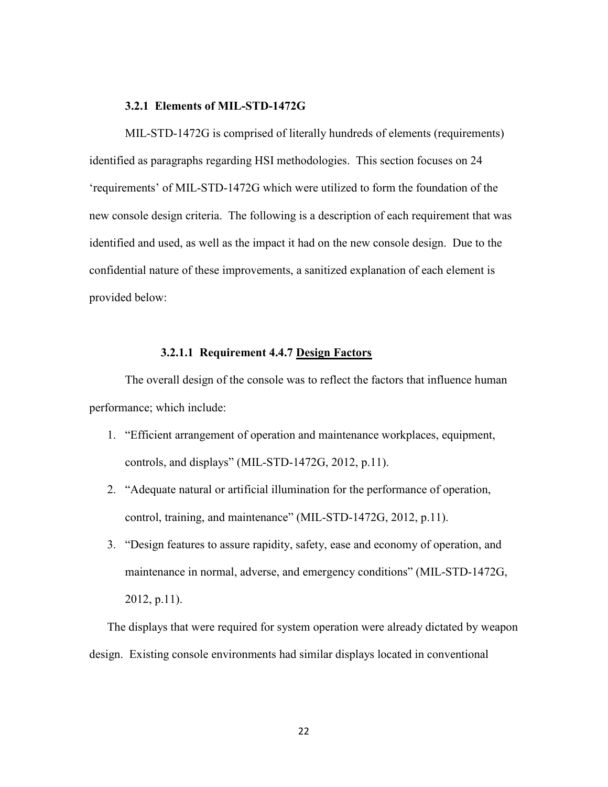#### **3.2.1 Elements of MIL-STD-1472G**

 MIL-STD-1472G is comprised of literally hundreds of elements (requirements) identified as paragraphs regarding HSI methodologies. This section focuses on 24 'requirements' of MIL-STD-1472G which were utilized to form the foundation of the new console design criteria. The following is a description of each requirement that was identified and used, as well as the impact it had on the new console design. Due to the confidential nature of these improvements, a sanitized explanation of each element is provided below:

# **3.2.1.1 Requirement 4.4.7 Design Factors**

The overall design of the console was to reflect the factors that influence human performance; which include:

- 1. "Efficient arrangement of operation and maintenance workplaces, equipment, controls, and displays" (MIL-STD-1472G, 2012, p.11).
- 2. "Adequate natural or artificial illumination for the performance of operation, control, training, and maintenance" (MIL-STD-1472G, 2012, p.11).
- 3. "Design features to assure rapidity, safety, ease and economy of operation, and maintenance in normal, adverse, and emergency conditions" (MIL-STD-1472G, 2012, p.11).

The displays that were required for system operation were already dictated by weapon design. Existing console environments had similar displays located in conventional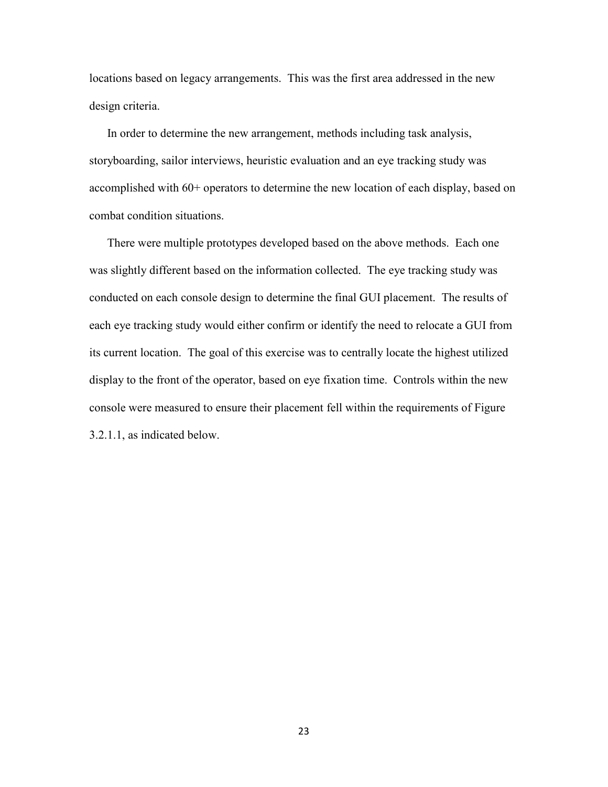locations based on legacy arrangements. This was the first area addressed in the new design criteria.

In order to determine the new arrangement, methods including task analysis, storyboarding, sailor interviews, heuristic evaluation and an eye tracking study was accomplished with 60+ operators to determine the new location of each display, based on combat condition situations.

There were multiple prototypes developed based on the above methods. Each one was slightly different based on the information collected. The eye tracking study was conducted on each console design to determine the final GUI placement. The results of each eye tracking study would either confirm or identify the need to relocate a GUI from its current location. The goal of this exercise was to centrally locate the highest utilized display to the front of the operator, based on eye fixation time. Controls within the new console were measured to ensure their placement fell within the requirements of Figure 3.2.1.1, as indicated below.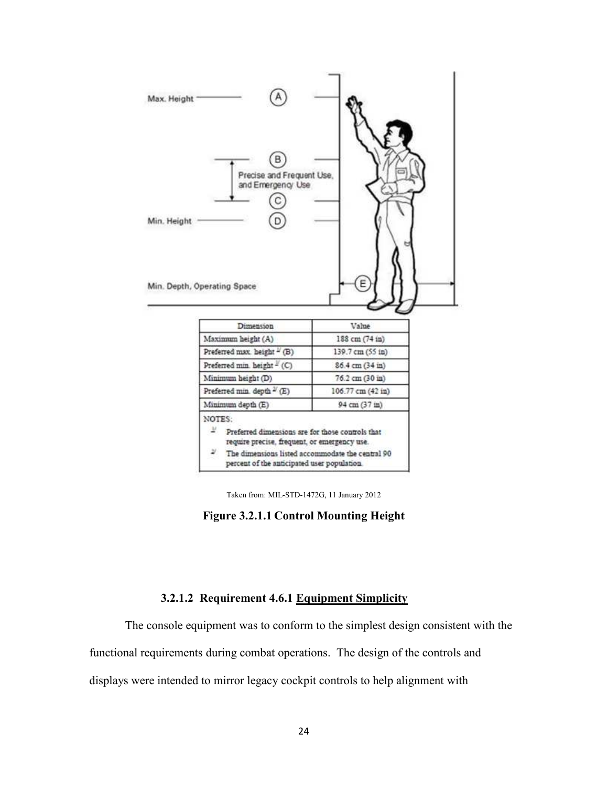

Taken from: MIL-STD-1472G, 11 January 2012

**Figure 3.2.1.1 Control Mounting Height** 

# **3.2.1.2 Requirement 4.6.1 Equipment Simplicity**

The console equipment was to conform to the simplest design consistent with the

functional requirements during combat operations. The design of the controls and

displays were intended to mirror legacy cockpit controls to help alignment with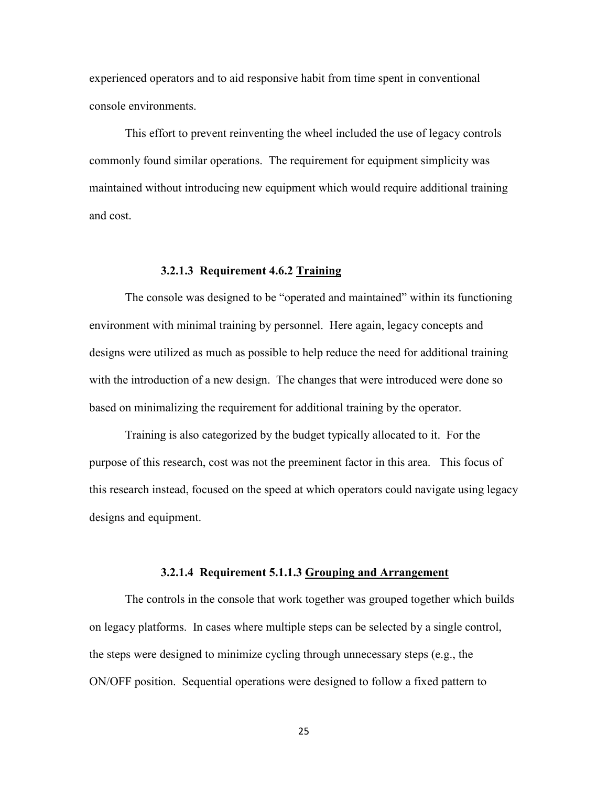experienced operators and to aid responsive habit from time spent in conventional console environments.

This effort to prevent reinventing the wheel included the use of legacy controls commonly found similar operations. The requirement for equipment simplicity was maintained without introducing new equipment which would require additional training and cost.

# **3.2.1.3 Requirement 4.6.2 Training**

The console was designed to be "operated and maintained" within its functioning environment with minimal training by personnel. Here again, legacy concepts and designs were utilized as much as possible to help reduce the need for additional training with the introduction of a new design. The changes that were introduced were done so based on minimalizing the requirement for additional training by the operator.

Training is also categorized by the budget typically allocated to it. For the purpose of this research, cost was not the preeminent factor in this area. This focus of this research instead, focused on the speed at which operators could navigate using legacy designs and equipment.

#### **3.2.1.4 Requirement 5.1.1.3 Grouping and Arrangement**

The controls in the console that work together was grouped together which builds on legacy platforms. In cases where multiple steps can be selected by a single control, the steps were designed to minimize cycling through unnecessary steps (e.g., the ON/OFF position. Sequential operations were designed to follow a fixed pattern to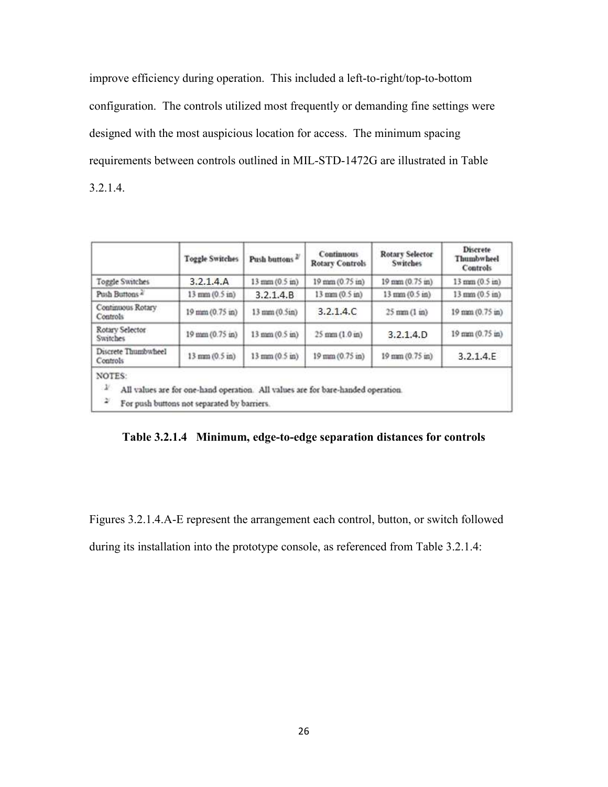improve efficiency during operation. This included a left-to-right/top-to-bottom configuration. The controls utilized most frequently or demanding fine settings were designed with the most auspicious location for access. The minimum spacing requirements between controls outlined in MIL-STD-1472G are illustrated in Table 3.2.1.4.

|                                        | <b>Toggle Switches</b>                                                                                                          | Push buttons              | <b>Continuous</b><br><b>Rotary Controls</b> | <b>Rotary Selector</b><br><b>Switches</b> | Discrete<br><b>Thumbwheel</b><br><b>Controls</b> |
|----------------------------------------|---------------------------------------------------------------------------------------------------------------------------------|---------------------------|---------------------------------------------|-------------------------------------------|--------------------------------------------------|
| Toggle Switches                        | 3.2.1.4.A                                                                                                                       | 13 mm (0.5 in)            | 19 mm (0.75 in)                             | 19 mm (0.75 in)                           | 13 mm (0.5 in)                                   |
| Push Buttons                           | 13 mm (0.5 in)                                                                                                                  | 3.2.1.4.B                 | 13 mm (0.5 in)                              | 13 mm (0.5 in)                            | 13 mm (0.5 in)                                   |
| Continuous Rotary<br>Controls          | 19 mm (0.75 in)                                                                                                                 | 13 mm (0.5in)             | 3.2.1.4.C                                   | $25$ mm $(1 \text{ in})$                  | 19 mm (0.75 in)                                  |
| Rotary Selector<br><b>Switches</b>     | 19 mm (0.75 in)                                                                                                                 | $13$ mm $(0.5 \text{ m})$ | $25$ mm $(1.0 \text{ in})$                  | 3.2.1.4.D                                 | 19 mm (0.75 in)                                  |
| Discrete Thumbwheel<br>Controls        | 13 mm (0.5 in)                                                                                                                  | $13$ mm $(0.5$ in)        | 19 mm (0.75 m)                              | 19 mm (0.75 m)                            | 3.2.1.4.E                                        |
| NOTES:<br>$\mathcal{N}$<br>$\tilde{ }$ | All values are for one-hand operation. All values are for bare-handed operation.<br>For push buttons not separated by barriers. |                           |                                             |                                           |                                                  |

**Table 3.2.1.4 Minimum, edge-to-edge separation distances for controls** 

Figures 3.2.1.4.A-E represent the arrangement each control, button, or switch followed

during its installation into the prototype console, as referenced from Table 3.2.1.4: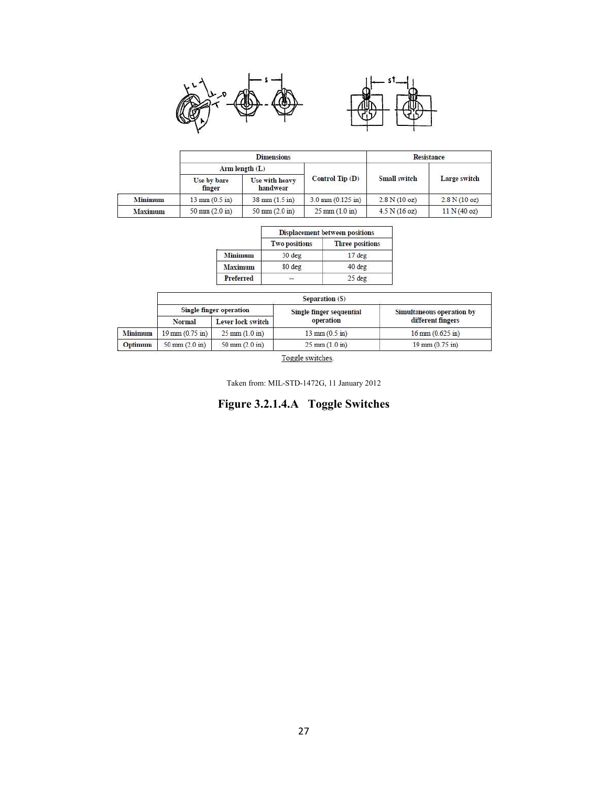



|                |                                   | <b>Dimensions</b>                |                                  | <b>Resistance</b> |              |
|----------------|-----------------------------------|----------------------------------|----------------------------------|-------------------|--------------|
|                | Arm length $(L)$                  |                                  |                                  |                   |              |
|                | Use by bare<br>finger             | Use with heavy<br>handwear       | Control $Tip(D)$                 | Small switch      | Large switch |
| <b>Minimum</b> | $13 \text{ mm } (0.5 \text{ in})$ | $38 \text{ mm} (1.5 \text{ in})$ | $3.0 \text{ mm}$ (0.125 in)      | 2.8 N(10 oz)      | 2.8 N(10 oz) |
| Maximum        | $50 \text{ mm} (2.0 \text{ in})$  | $50 \text{ mm} (2.0 \text{ in})$ | $25 \text{ mm} (1.0 \text{ in})$ | 4.5 N (16 oz)     | 11 N (40 oz) |

|                  | <b>Displacement between positions</b> |                        |  |  |  |
|------------------|---------------------------------------|------------------------|--|--|--|
|                  | <b>Two positions</b>                  | <b>Three positions</b> |  |  |  |
| <b>Minimum</b>   | 30 deg                                | $17$ deg               |  |  |  |
| <b>Maximum</b>   | 80 deg                                | 40 deg                 |  |  |  |
| <b>Preferred</b> | 答                                     | $25$ deg               |  |  |  |

| Separation (S)          |                                   |                                  |                                  |                                    |  |  |
|-------------------------|-----------------------------------|----------------------------------|----------------------------------|------------------------------------|--|--|
| Single finger operation |                                   |                                  | Single finger sequential         | Simultaneous operation by          |  |  |
|                         | Normal                            | Lever lock switch                | operation                        | different fingers                  |  |  |
| <b>Minimum</b>          | $19 \text{ mm} (0.75 \text{ in})$ | $25 \text{ mm} (1.0 \text{ in})$ | $13 \text{ mm} (0.5 \text{ in})$ | $16 \text{ mm} (0.625 \text{ in})$ |  |  |
| Optimum                 | $50 \text{ mm} (2.0 \text{ in})$  | $50 \text{ mm} (2.0 \text{ in})$ | $25 \text{ mm} (1.0 \text{ in})$ | $19 \text{ mm} (0.75 \text{ in})$  |  |  |

Toggle switches.

Taken from: MIL-STD-1472G, 11 January 2012

**Figure 3.2.1.4.A Toggle Switches**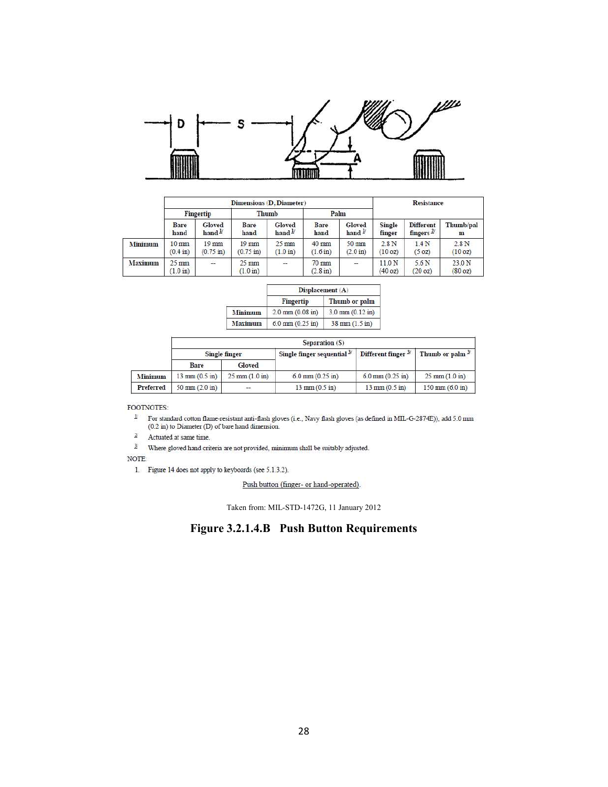

|         | Dimensions (D. Diameter)              |                                |                                       |                                       |                               |                              |                              | Resistance                                |                           |
|---------|---------------------------------------|--------------------------------|---------------------------------------|---------------------------------------|-------------------------------|------------------------------|------------------------------|-------------------------------------------|---------------------------|
|         | Fingertip<br>Thumb                    |                                |                                       | Palm                                  |                               |                              |                              |                                           |                           |
|         | <b>Bare</b><br>hand                   | Gloved<br>hand $\frac{1}{2}$   | Bare<br>hand                          | Gloved<br>hand $\frac{1}{2}$          | Bare<br>hand                  | Gloved<br>hand $\frac{1}{2}$ | Single<br>finger             | <b>Different</b><br>fingers $\frac{2}{3}$ | Thumb/pal<br>$\mathbf{m}$ |
| Minimum | $10 \text{ mm}$<br>$(0.4 \text{ in})$ | $19$ mm<br>$(0.75 \text{ in})$ | $19$ mm<br>$(0.75 \text{ in})$        | $25 \text{ mm}$<br>$(1.0 \text{ in})$ | $40$ mm<br>$(1.6 \text{ in})$ | 50 mm<br>$(2.0 \text{ in})$  | 2.8N<br>(10 oz)              | 1.4 <sub>N</sub><br>(5 oz)                | 2.8N<br>(10 oz)           |
| Maximum | $25 \text{ mm}$<br>$(1.0 \text{ in})$ | 12                             | $25 \text{ mm}$<br>$(1.0 \text{ in})$ | œ.                                    | 70 mm<br>$(2.8 \text{ in})$   | a.                           | 11.0 <sub>N</sub><br>(40 oz) | 5.6 <sub>N</sub><br>(20 oz)               | 23.0 N<br>(80 oz)         |

|                | Displacement (A)                   |                                  |  |  |
|----------------|------------------------------------|----------------------------------|--|--|
|                | Fingertip                          | Thumb or palm                    |  |  |
| <b>Minimum</b> | $2.0 \text{ mm} (0.08 \text{ in})$ | $3.0$ mm $(0.12$ in)             |  |  |
| <b>Maximum</b> | $6.0 \text{ mm} (0.25 \text{ in})$ | $38 \text{ mm} (1.5 \text{ in})$ |  |  |

|                | Separation (S)                   |                                  |                                       |                                  |                                   |  |  |
|----------------|----------------------------------|----------------------------------|---------------------------------------|----------------------------------|-----------------------------------|--|--|
|                | Single finger                    |                                  | Single finger sequential $3^{\prime}$ | Different finger $3^{\prime}$    | Thumb or palm $\frac{3}{2}$       |  |  |
|                | Bare                             | Gloved                           |                                       |                                  |                                   |  |  |
| <b>Minimum</b> | $13 \text{ mm} (0.5 \text{ in})$ | $25 \text{ mm} (1.0 \text{ in})$ | $6.0 \text{ mm} (0.25 \text{ in})$    | $6.0$ mm $(0.25$ in)             | $25 \text{ mm} (1.0 \text{ m})$   |  |  |
| Preferred      | $50 \text{ mm} (2.0 \text{ in})$ | $\overline{\phantom{a}}$         | $13 \text{ mm} (0.5 \text{ in})$      | $13 \text{ mm} (0.5 \text{ in})$ | $150 \text{ mm} (6.0 \text{ in})$ |  |  |

FOOTNOTES:

For standard cotton flame-resistant anti-flash gloves (i.e., Navy flash gloves (as defined in MIL-G-2874E)), add 5.0 mm (0.2 in) to Diameter (D) of bare hand dimension.  $\boldsymbol{\nu}$ 

 $2\prime$ Actuated at same time.

 $3/$ Where gloved hand criteria are not provided, minimum shall be suitably adjusted.

NOTE:

1. Figure 14 does not apply to keyboards (see 5.1.3.2).

Push button (finger- or hand-operated).

Taken from: MIL-STD-1472G, 11 January 2012

# **Figure 3.2.1.4.B Push Button Requirements**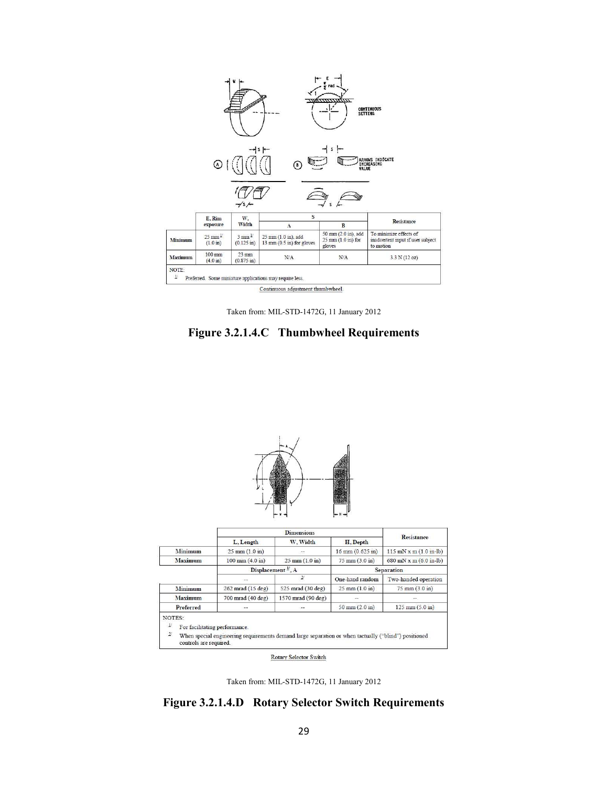

Taken from: MIL-STD-1472G, 11 January 2012





NOTES:

 $\mathcal{Y}$ For facilitating performance.

 $\overline{2}$ When special engineering requirements demand large separation or when tactually ("blind") positioned controls are required.

Rotary Selector Switch

Taken from: MIL-STD-1472G, 11 January 2012

**Figure 3.2.1.4.D Rotary Selector Switch Requirements**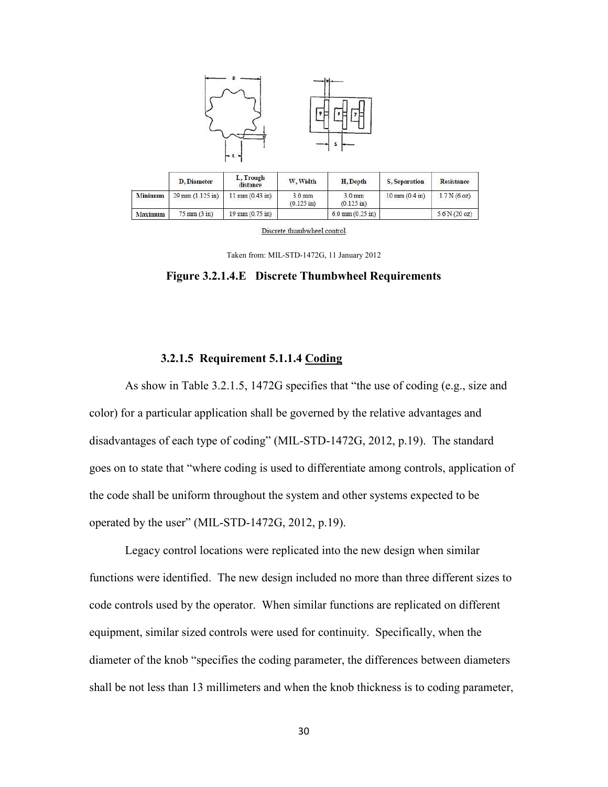

| Discrete thumbwheel control. |  |  |
|------------------------------|--|--|
|                              |  |  |

 $6.0 \text{ mm} (0.25 \text{ in})$ 

Resistance

 $1.7 N(6 oz)$ 

 $5.6 N(20 oz)$ 

Taken from: MIL-STD-1472G, 11 January 2012

**Figure 3.2.1.4.E Discrete Thumbwheel Requirements**

# **3.2.1.5 Requirement 5.1.1.4 Coding**

 $19 \text{ mm} (0.75 \text{ in})$ 

 $75 \text{ mm} (3 \text{ in})$ 

Maximum

As show in Table 3.2.1.5, 1472G specifies that "the use of coding (e.g., size and color) for a particular application shall be governed by the relative advantages and disadvantages of each type of coding" (MIL-STD-1472G, 2012, p.19). The standard goes on to state that "where coding is used to differentiate among controls, application of the code shall be uniform throughout the system and other systems expected to be operated by the user" (MIL-STD-1472G, 2012, p.19).

 Legacy control locations were replicated into the new design when similar functions were identified. The new design included no more than three different sizes to code controls used by the operator. When similar functions are replicated on different equipment, similar sized controls were used for continuity. Specifically, when the diameter of the knob "specifies the coding parameter, the differences between diameters shall be not less than 13 millimeters and when the knob thickness is to coding parameter,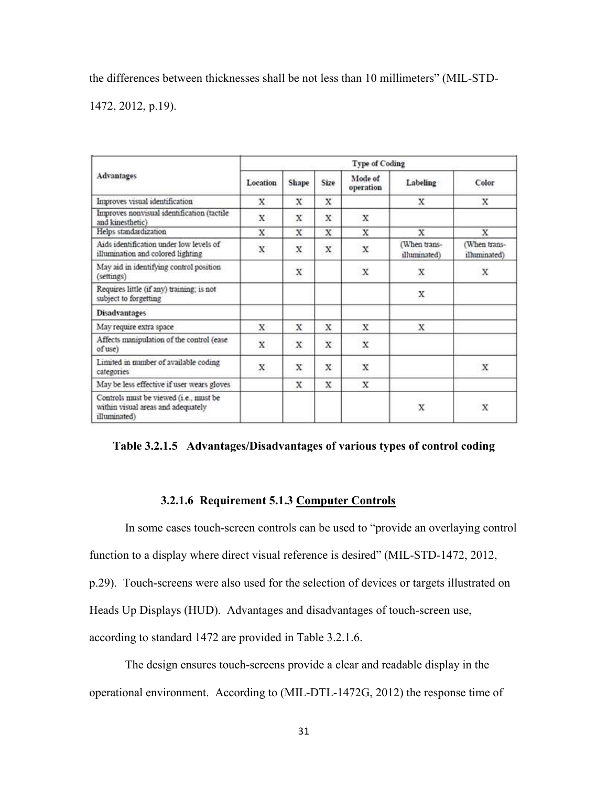the differences between thicknesses shall be not less than 10 millimeters" (MIL-STD-

1472, 2012, p.19).

|                                                                                              | <b>Type of Coding</b> |       |      |                      |                              |                              |  |  |  |  |  |
|----------------------------------------------------------------------------------------------|-----------------------|-------|------|----------------------|------------------------------|------------------------------|--|--|--|--|--|
| Advantages                                                                                   | Location              | Shape | Size | Mode of<br>operation | Labeling                     | Color                        |  |  |  |  |  |
| Improves visual identification                                                               | x.                    | x     | x    |                      | x                            | x                            |  |  |  |  |  |
| Improves nonvisual identification (tactile<br>and kinesthetic).                              | x                     | X     | X    | X                    |                              |                              |  |  |  |  |  |
| Helps standardization                                                                        | X                     | x     | X    | x                    | X                            | X                            |  |  |  |  |  |
| Aids identification under low levels of<br>illumination and colored lighting                 | X                     | X     | x    | X                    | (When trans-<br>illuminated) | (When trans-<br>illuminated) |  |  |  |  |  |
| May aid in identifying control position<br>(settings)                                        |                       | x     |      | X                    | x                            | X                            |  |  |  |  |  |
| Requires little (if any) training; is not<br>subject to forgetting                           |                       |       |      |                      | X                            |                              |  |  |  |  |  |
| <b>Disadvantages</b>                                                                         |                       |       |      |                      |                              |                              |  |  |  |  |  |
| May require extra space                                                                      | X.                    | x     | x    | X                    | x                            |                              |  |  |  |  |  |
| Affects manipulation of the control (ease<br>of use)                                         | X                     | X     | X    | X                    |                              |                              |  |  |  |  |  |
| Limited in number of available coding<br>categories                                          | x                     | X     | X    | X                    |                              | х                            |  |  |  |  |  |
| May be less effective if user wears gloves                                                   |                       | х     | x    | х                    |                              |                              |  |  |  |  |  |
| Controls must be viewed (i.e., must be<br>within visual areas and adequately<br>illuminated) |                       |       |      |                      | X                            | X                            |  |  |  |  |  |

**Table 3.2.1.5 Advantages/Disadvantages of various types of control coding** 

# **3.2.1.6 Requirement 5.1.3 Computer Controls**

In some cases touch-screen controls can be used to "provide an overlaying control function to a display where direct visual reference is desired" (MIL-STD-1472, 2012,

p.29). Touch-screens were also used for the selection of devices or targets illustrated on

Heads Up Displays (HUD). Advantages and disadvantages of touch-screen use,

according to standard 1472 are provided in Table 3.2.1.6.

The design ensures touch-screens provide a clear and readable display in the operational environment. According to (MIL-DTL-1472G, 2012) the response time of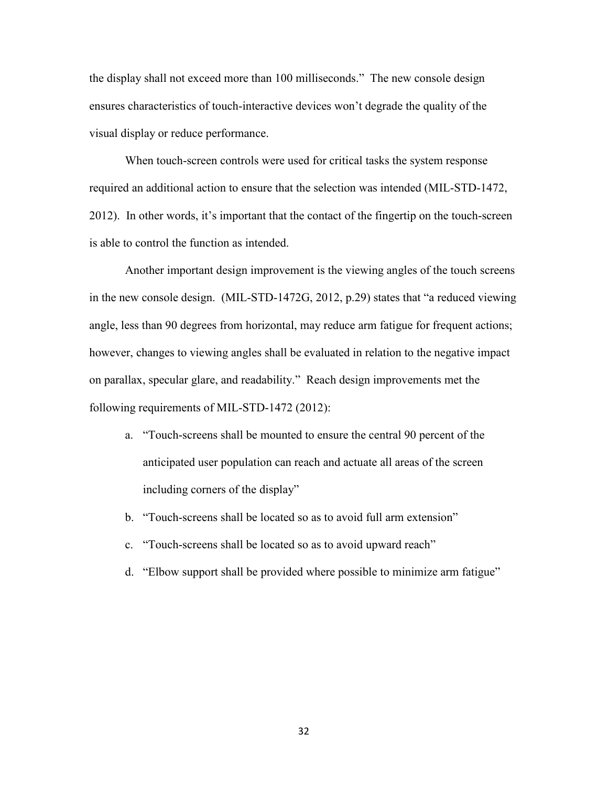the display shall not exceed more than 100 milliseconds." The new console design ensures characteristics of touch-interactive devices won't degrade the quality of the visual display or reduce performance.

 When touch-screen controls were used for critical tasks the system response required an additional action to ensure that the selection was intended (MIL-STD-1472, 2012). In other words, it's important that the contact of the fingertip on the touch-screen is able to control the function as intended.

 Another important design improvement is the viewing angles of the touch screens in the new console design. (MIL-STD-1472G, 2012, p.29) states that "a reduced viewing angle, less than 90 degrees from horizontal, may reduce arm fatigue for frequent actions; however, changes to viewing angles shall be evaluated in relation to the negative impact on parallax, specular glare, and readability." Reach design improvements met the following requirements of MIL-STD-1472 (2012):

- a. "Touch-screens shall be mounted to ensure the central 90 percent of the anticipated user population can reach and actuate all areas of the screen including corners of the display"
- b. "Touch-screens shall be located so as to avoid full arm extension"
- c. "Touch-screens shall be located so as to avoid upward reach"
- d. "Elbow support shall be provided where possible to minimize arm fatigue"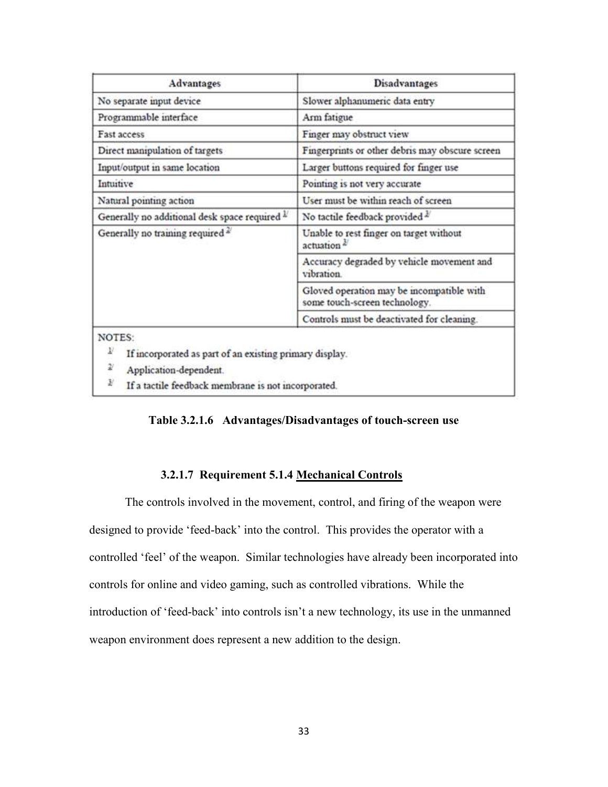| Slower alphanumeric data entry<br>Arm fatigue<br>Finger may obstruct view<br>Fingerprints or other debris may obscure screen<br>Larger buttons required for finger use<br>Pointing is not very accurate |  |  |  |  |
|---------------------------------------------------------------------------------------------------------------------------------------------------------------------------------------------------------|--|--|--|--|
|                                                                                                                                                                                                         |  |  |  |  |
|                                                                                                                                                                                                         |  |  |  |  |
|                                                                                                                                                                                                         |  |  |  |  |
|                                                                                                                                                                                                         |  |  |  |  |
|                                                                                                                                                                                                         |  |  |  |  |
|                                                                                                                                                                                                         |  |  |  |  |
| User must be within reach of screen                                                                                                                                                                     |  |  |  |  |
| No tactile feedback provided 2                                                                                                                                                                          |  |  |  |  |
| Unable to rest finger on target without<br>actuation <sup>2</sup>                                                                                                                                       |  |  |  |  |
| Accuracy degraded by vehicle movement and<br>vibration                                                                                                                                                  |  |  |  |  |
| Gloved operation may be incompatible with<br>some touch-screen technology.                                                                                                                              |  |  |  |  |
| Controls must be deactivated for cleaning.                                                                                                                                                              |  |  |  |  |
| If incorporated as part of an existing primary display.<br>If a tactile feedback membrane is not incorporated.                                                                                          |  |  |  |  |
|                                                                                                                                                                                                         |  |  |  |  |

**Table 3.2.1.6 Advantages/Disadvantages of touch-screen use** 

# **3.2.1.7 Requirement 5.1.4 Mechanical Controls**

The controls involved in the movement, control, and firing of the weapon were designed to provide 'feed-back' into the control. This provides the operator with a controlled 'feel' of the weapon. Similar technologies have already been incorporated into controls for online and video gaming, such as controlled vibrations. While the introduction of 'feed-back' into controls isn't a new technology, its use in the unmanned weapon environment does represent a new addition to the design.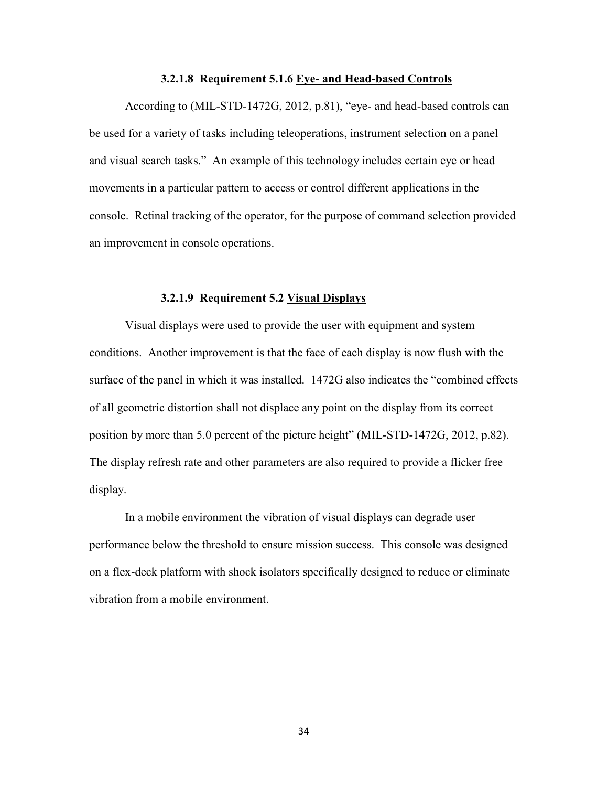## **3.2.1.8 Requirement 5.1.6 Eye- and Head-based Controls**

According to (MIL-STD-1472G, 2012, p.81), "eye- and head-based controls can be used for a variety of tasks including teleoperations, instrument selection on a panel and visual search tasks." An example of this technology includes certain eye or head movements in a particular pattern to access or control different applications in the console. Retinal tracking of the operator, for the purpose of command selection provided an improvement in console operations.

#### **3.2.1.9 Requirement 5.2 Visual Displays**

Visual displays were used to provide the user with equipment and system conditions. Another improvement is that the face of each display is now flush with the surface of the panel in which it was installed. 1472G also indicates the "combined effects of all geometric distortion shall not displace any point on the display from its correct position by more than 5.0 percent of the picture height" (MIL-STD-1472G, 2012, p.82). The display refresh rate and other parameters are also required to provide a flicker free display.

 In a mobile environment the vibration of visual displays can degrade user performance below the threshold to ensure mission success. This console was designed on a flex-deck platform with shock isolators specifically designed to reduce or eliminate vibration from a mobile environment.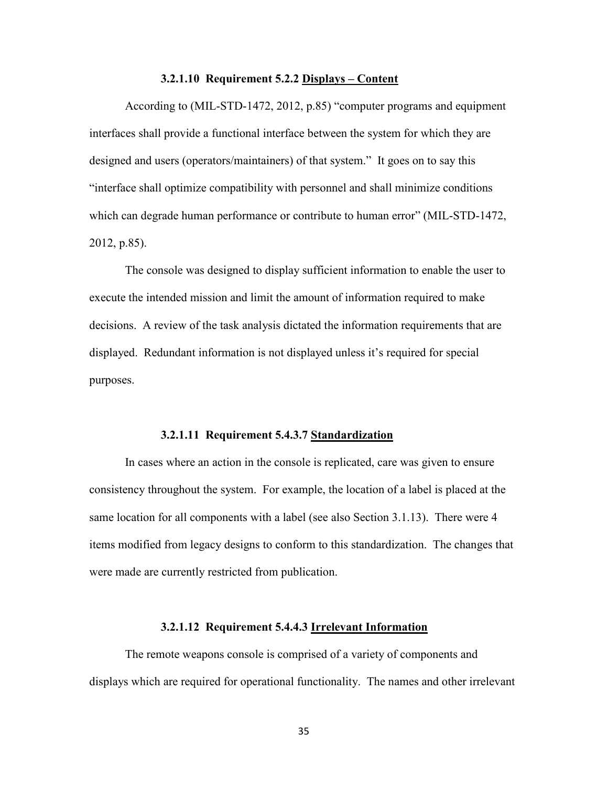# **3.2.1.10 Requirement 5.2.2 Displays – Content**

According to (MIL-STD-1472, 2012, p.85) "computer programs and equipment interfaces shall provide a functional interface between the system for which they are designed and users (operators/maintainers) of that system." It goes on to say this "interface shall optimize compatibility with personnel and shall minimize conditions which can degrade human performance or contribute to human error" (MIL-STD-1472, 2012, p.85).

 The console was designed to display sufficient information to enable the user to execute the intended mission and limit the amount of information required to make decisions. A review of the task analysis dictated the information requirements that are displayed. Redundant information is not displayed unless it's required for special purposes.

#### **3.2.1.11 Requirement 5.4.3.7 Standardization**

In cases where an action in the console is replicated, care was given to ensure consistency throughout the system. For example, the location of a label is placed at the same location for all components with a label (see also Section 3.1.13). There were 4 items modified from legacy designs to conform to this standardization. The changes that were made are currently restricted from publication.

# **3.2.1.12 Requirement 5.4.4.3 Irrelevant Information**

The remote weapons console is comprised of a variety of components and displays which are required for operational functionality. The names and other irrelevant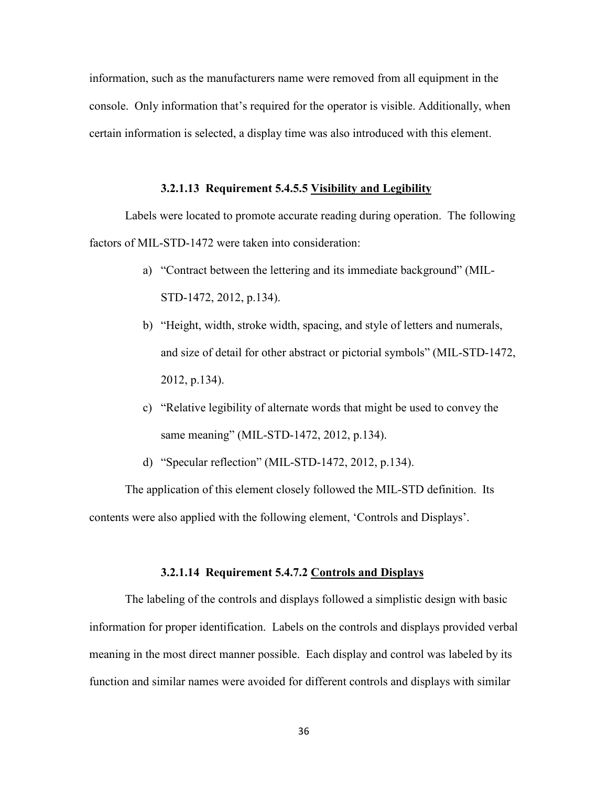information, such as the manufacturers name were removed from all equipment in the console. Only information that's required for the operator is visible. Additionally, when certain information is selected, a display time was also introduced with this element.

# **3.2.1.13 Requirement 5.4.5.5 Visibility and Legibility**

Labels were located to promote accurate reading during operation. The following factors of MIL-STD-1472 were taken into consideration:

- a) "Contract between the lettering and its immediate background" (MIL-STD-1472, 2012, p.134).
- b) "Height, width, stroke width, spacing, and style of letters and numerals, and size of detail for other abstract or pictorial symbols" (MIL-STD-1472, 2012, p.134).
- c) "Relative legibility of alternate words that might be used to convey the same meaning" (MIL-STD-1472, 2012, p.134).
- d) "Specular reflection" (MIL-STD-1472, 2012, p.134).

The application of this element closely followed the MIL-STD definition. Its contents were also applied with the following element, 'Controls and Displays'.

# **3.2.1.14 Requirement 5.4.7.2 Controls and Displays**

The labeling of the controls and displays followed a simplistic design with basic information for proper identification. Labels on the controls and displays provided verbal meaning in the most direct manner possible. Each display and control was labeled by its function and similar names were avoided for different controls and displays with similar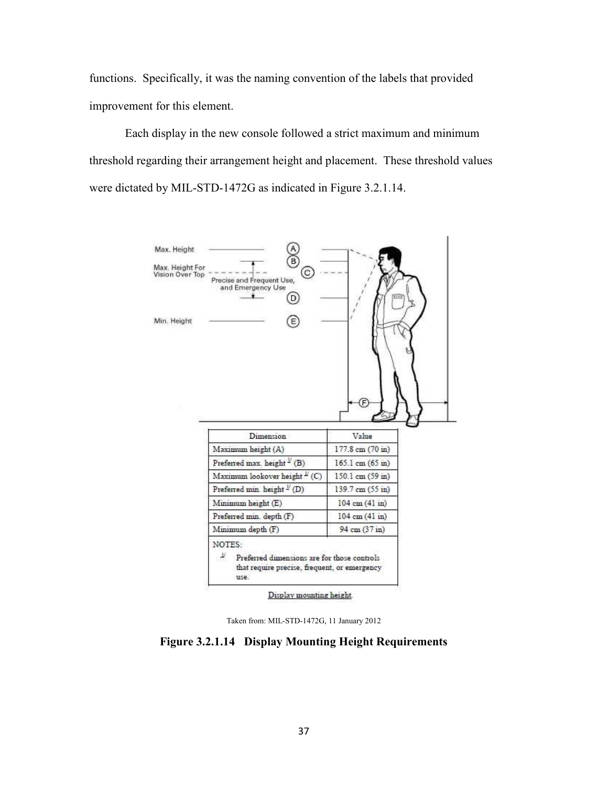functions. Specifically, it was the naming convention of the labels that provided improvement for this element.

Each display in the new console followed a strict maximum and minimum threshold regarding their arrangement height and placement. These threshold values were dictated by MIL-STD-1472G as indicated in Figure 3.2.1.14.



Taken from: MIL-STD-1472G, 11 January 2012

# **Figure 3.2.1.14 Display Mounting Height Requirements**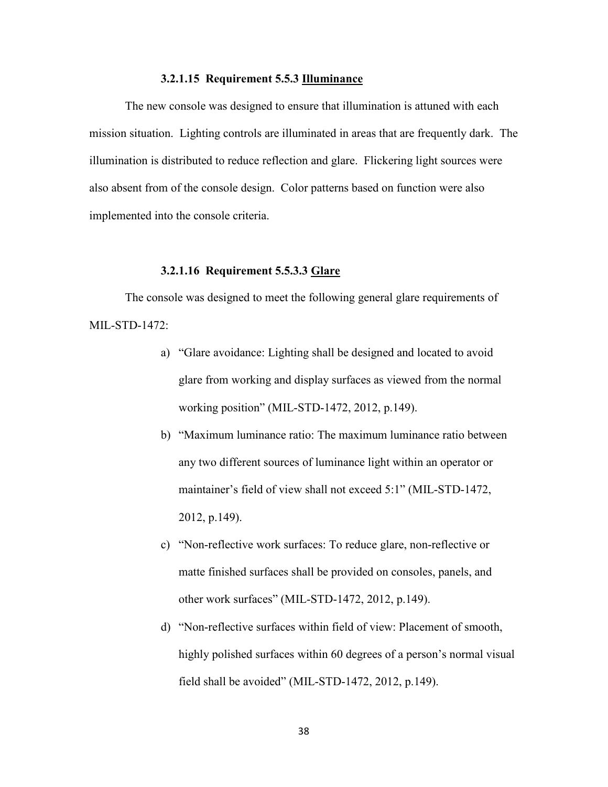# **3.2.1.15 Requirement 5.5.3 Illuminance**

The new console was designed to ensure that illumination is attuned with each mission situation. Lighting controls are illuminated in areas that are frequently dark. The illumination is distributed to reduce reflection and glare. Flickering light sources were also absent from of the console design. Color patterns based on function were also implemented into the console criteria.

# **3.2.1.16 Requirement 5.5.3.3 Glare**

The console was designed to meet the following general glare requirements of MIL-STD-1472:

- a) "Glare avoidance: Lighting shall be designed and located to avoid glare from working and display surfaces as viewed from the normal working position" (MIL-STD-1472, 2012, p.149).
- b) "Maximum luminance ratio: The maximum luminance ratio between any two different sources of luminance light within an operator or maintainer's field of view shall not exceed 5:1" (MIL-STD-1472, 2012, p.149).
- c) "Non-reflective work surfaces: To reduce glare, non-reflective or matte finished surfaces shall be provided on consoles, panels, and other work surfaces" (MIL-STD-1472, 2012, p.149).
- d) "Non-reflective surfaces within field of view: Placement of smooth, highly polished surfaces within 60 degrees of a person's normal visual field shall be avoided" (MIL-STD-1472, 2012, p.149).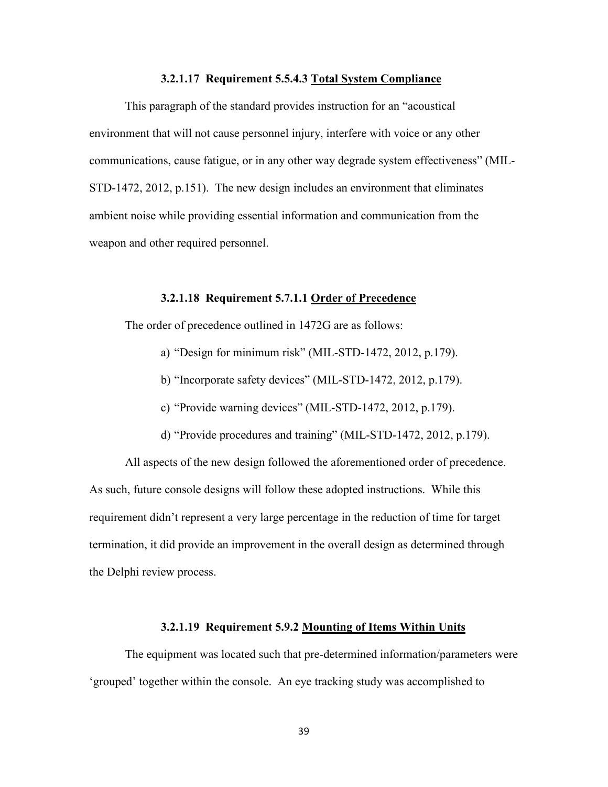# **3.2.1.17 Requirement 5.5.4.3 Total System Compliance**

This paragraph of the standard provides instruction for an "acoustical environment that will not cause personnel injury, interfere with voice or any other communications, cause fatigue, or in any other way degrade system effectiveness" (MIL-STD-1472, 2012, p.151). The new design includes an environment that eliminates ambient noise while providing essential information and communication from the weapon and other required personnel.

#### **3.2.1.18 Requirement 5.7.1.1 Order of Precedence**

The order of precedence outlined in 1472G are as follows:

- a) "Design for minimum risk" (MIL-STD-1472, 2012, p.179).
- b) "Incorporate safety devices" (MIL-STD-1472, 2012, p.179).
- c) "Provide warning devices" (MIL-STD-1472, 2012, p.179).
- d) "Provide procedures and training" (MIL-STD-1472, 2012, p.179).

All aspects of the new design followed the aforementioned order of precedence. As such, future console designs will follow these adopted instructions. While this requirement didn't represent a very large percentage in the reduction of time for target termination, it did provide an improvement in the overall design as determined through the Delphi review process.

# **3.2.1.19 Requirement 5.9.2 Mounting of Items Within Units**

The equipment was located such that pre-determined information/parameters were 'grouped' together within the console. An eye tracking study was accomplished to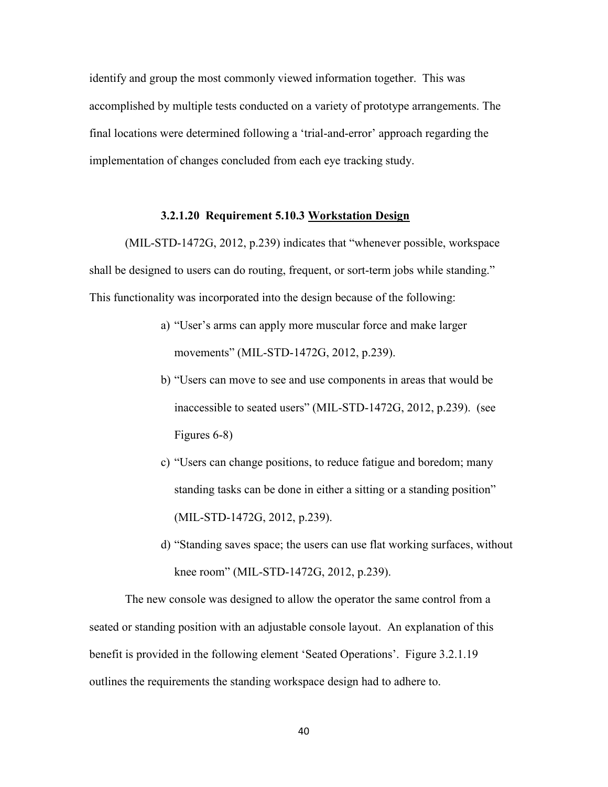identify and group the most commonly viewed information together. This was accomplished by multiple tests conducted on a variety of prototype arrangements. The final locations were determined following a 'trial-and-error' approach regarding the implementation of changes concluded from each eye tracking study.

# **3.2.1.20 Requirement 5.10.3 Workstation Design**

(MIL-STD-1472G, 2012, p.239) indicates that "whenever possible, workspace shall be designed to users can do routing, frequent, or sort-term jobs while standing." This functionality was incorporated into the design because of the following:

- a) "User's arms can apply more muscular force and make larger movements" (MIL-STD-1472G, 2012, p.239).
- b) "Users can move to see and use components in areas that would be inaccessible to seated users" (MIL-STD-1472G, 2012, p.239). (see Figures 6-8)
- c) "Users can change positions, to reduce fatigue and boredom; many standing tasks can be done in either a sitting or a standing position" (MIL-STD-1472G, 2012, p.239).
- d) "Standing saves space; the users can use flat working surfaces, without knee room" (MIL-STD-1472G, 2012, p.239).

The new console was designed to allow the operator the same control from a seated or standing position with an adjustable console layout. An explanation of this benefit is provided in the following element 'Seated Operations'. Figure 3.2.1.19 outlines the requirements the standing workspace design had to adhere to.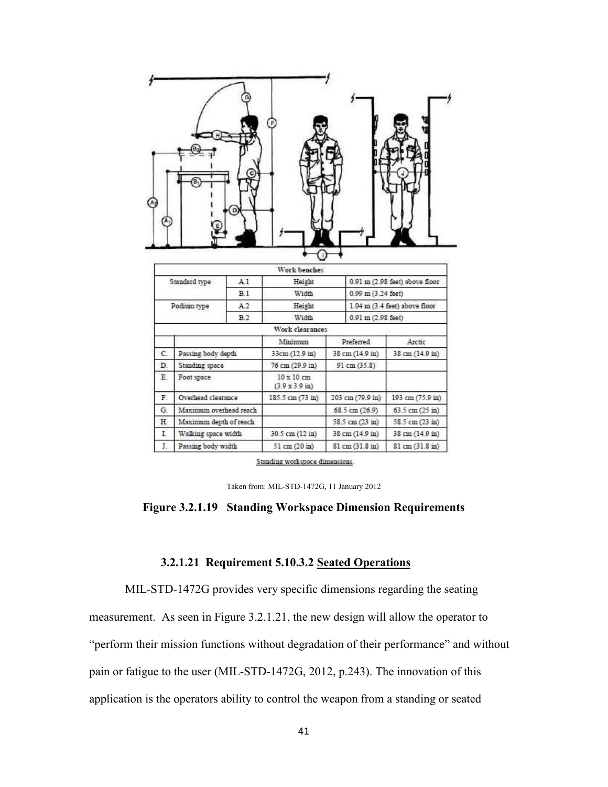|                           |                        |                | Work benches                                |                        |                                |                                   |  |
|---------------------------|------------------------|----------------|---------------------------------------------|------------------------|--------------------------------|-----------------------------------|--|
|                           | Standard type          | A.1            | Height                                      |                        | 0.91 m (2.98 feet) above floor |                                   |  |
| B.1                       |                        |                | Width                                       | $0.99$ m $(3.24$ feet) |                                |                                   |  |
|                           |                        |                |                                             |                        |                                |                                   |  |
|                           | Podium type            | A <sub>2</sub> | Height                                      |                        |                                | $1.04$ m $(3.4$ feet) above floor |  |
|                           |                        | B.2            | Width                                       |                        | $0.91$ m $(2.98$ feet)         |                                   |  |
|                           |                        |                | Work clearances                             |                        |                                |                                   |  |
|                           |                        |                | Minimum                                     |                        | Preferred                      | Arctic                            |  |
|                           | Passing body depth     |                | 33cm (12.9 in)                              |                        | 38 cm (14.9 in)                | 38 cm (14.9 in)                   |  |
|                           | Standing space         |                | 76 cm (29.9 in)                             |                        | 91 cm (35.8)                   |                                   |  |
|                           | Foot space             |                | 10 x 10 cm<br>$(3.9 \times 3.9 \text{ in})$ |                        |                                |                                   |  |
|                           | Overhead clearance     |                | 185.5 cm (73 in)                            |                        | 203 cm (79.9 in)               | 193 cm (75.9 in)                  |  |
| C.<br>D.<br>E.<br>R<br>G. | Maximum overhead reach |                |                                             |                        | 68.5 cm (26.9)                 | 63.5 cm (25 in)                   |  |
| Η.                        | Maximum depth of reach |                |                                             |                        | 58.5 cm (23 in)                | 58.5 cm (23 in)                   |  |
| Ľ                         | Walking space width    |                | 30.5 cm (12 in)                             |                        | 38 cm (14.9 in)                | 38 cm (14.9 in)                   |  |

Standing workspace dimensions.

Taken from: MIL-STD-1472G, 11 January 2012

## **Figure 3.2.1.19 Standing Workspace Dimension Requirements**

# **3.2.1.21 Requirement 5.10.3.2 Seated Operations**

MIL-STD-1472G provides very specific dimensions regarding the seating

measurement. As seen in Figure 3.2.1.21, the new design will allow the operator to

"perform their mission functions without degradation of their performance" and without

pain or fatigue to the user (MIL-STD-1472G, 2012, p.243). The innovation of this

application is the operators ability to control the weapon from a standing or seated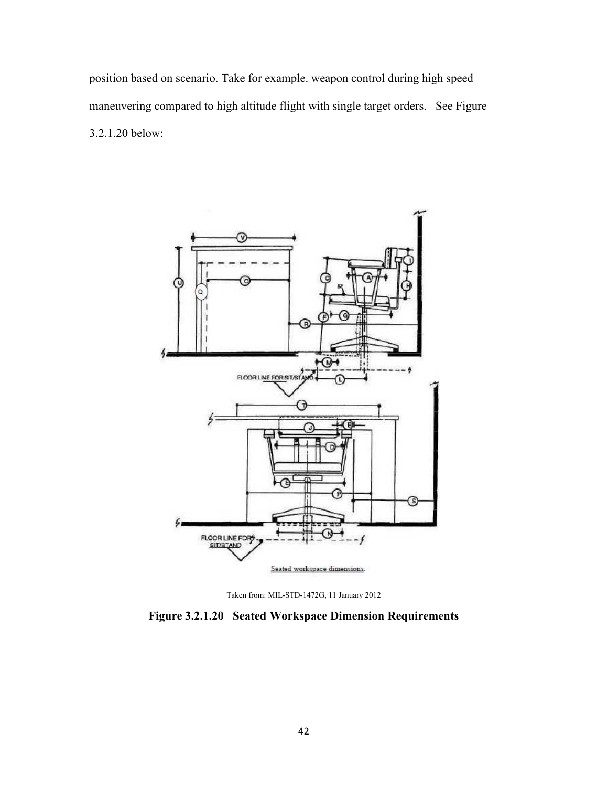position based on scenario. Take for example. weapon control during high speed maneuvering compared to high altitude flight with single target orders. See Figure 3.2.1.20 below:





**Figure 3.2.1.20 Seated Workspace Dimension Requirements**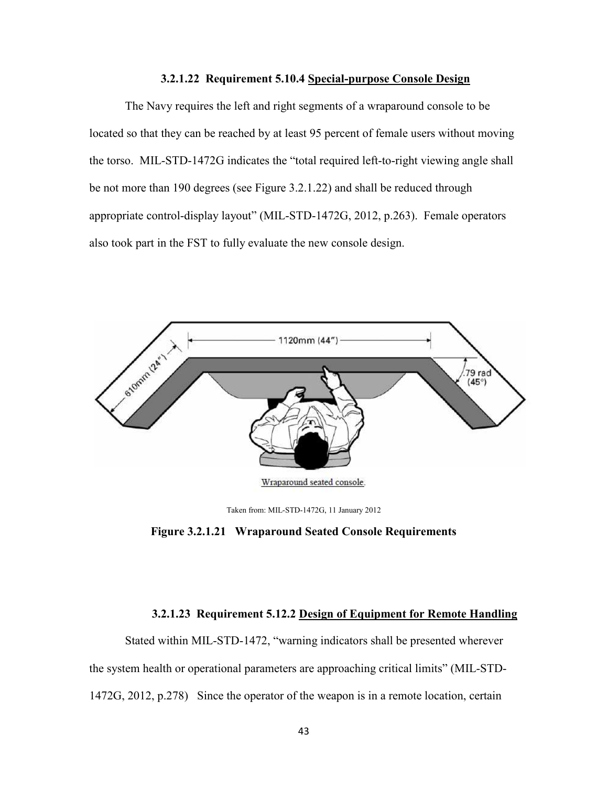# **3.2.1.22 Requirement 5.10.4 Special-purpose Console Design**

The Navy requires the left and right segments of a wraparound console to be located so that they can be reached by at least 95 percent of female users without moving the torso. MIL-STD-1472G indicates the "total required left-to-right viewing angle shall be not more than 190 degrees (see Figure 3.2.1.22) and shall be reduced through appropriate control-display layout" (MIL-STD-1472G, 2012, p.263). Female operators also took part in the FST to fully evaluate the new console design.



Taken from: MIL-STD-1472G, 11 January 2012

**Figure 3.2.1.21 Wraparound Seated Console Requirements** 

# **3.2.1.23 Requirement 5.12.2 Design of Equipment for Remote Handling**

Stated within MIL-STD-1472, "warning indicators shall be presented wherever the system health or operational parameters are approaching critical limits" (MIL-STD-1472G, 2012, p.278) Since the operator of the weapon is in a remote location, certain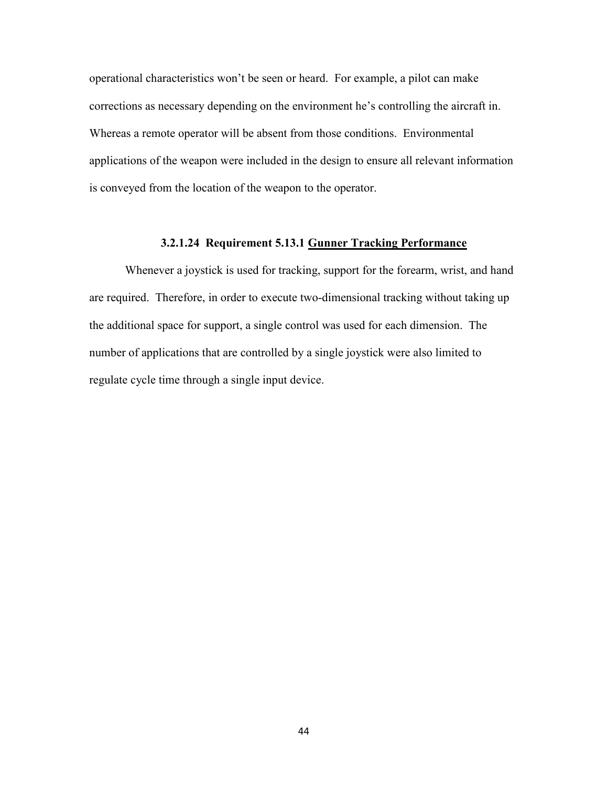operational characteristics won't be seen or heard. For example, a pilot can make corrections as necessary depending on the environment he's controlling the aircraft in. Whereas a remote operator will be absent from those conditions. Environmental applications of the weapon were included in the design to ensure all relevant information is conveyed from the location of the weapon to the operator.

# **3.2.1.24 Requirement 5.13.1 Gunner Tracking Performance**

Whenever a joystick is used for tracking, support for the forearm, wrist, and hand are required. Therefore, in order to execute two-dimensional tracking without taking up the additional space for support, a single control was used for each dimension. The number of applications that are controlled by a single joystick were also limited to regulate cycle time through a single input device.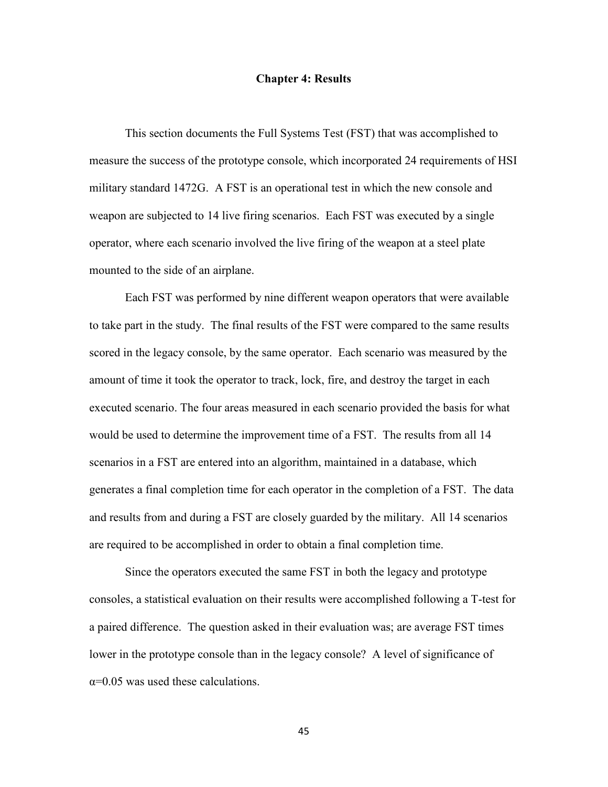#### **Chapter 4: Results**

This section documents the Full Systems Test (FST) that was accomplished to measure the success of the prototype console, which incorporated 24 requirements of HSI military standard 1472G. A FST is an operational test in which the new console and weapon are subjected to 14 live firing scenarios. Each FST was executed by a single operator, where each scenario involved the live firing of the weapon at a steel plate mounted to the side of an airplane.

Each FST was performed by nine different weapon operators that were available to take part in the study. The final results of the FST were compared to the same results scored in the legacy console, by the same operator. Each scenario was measured by the amount of time it took the operator to track, lock, fire, and destroy the target in each executed scenario. The four areas measured in each scenario provided the basis for what would be used to determine the improvement time of a FST. The results from all 14 scenarios in a FST are entered into an algorithm, maintained in a database, which generates a final completion time for each operator in the completion of a FST. The data and results from and during a FST are closely guarded by the military. All 14 scenarios are required to be accomplished in order to obtain a final completion time.

Since the operators executed the same FST in both the legacy and prototype consoles, a statistical evaluation on their results were accomplished following a T-test for a paired difference. The question asked in their evaluation was; are average FST times lower in the prototype console than in the legacy console? A level of significance of  $\alpha$ =0.05 was used these calculations.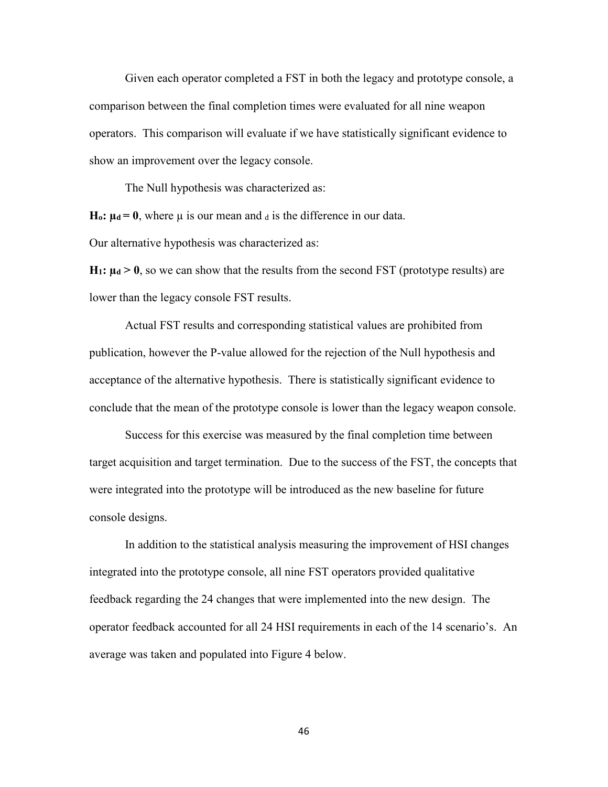Given each operator completed a FST in both the legacy and prototype console, a comparison between the final completion times were evaluated for all nine weapon operators. This comparison will evaluate if we have statistically significant evidence to show an improvement over the legacy console.

The Null hypothesis was characterized as:

**H<sub>o</sub>**:  $\mu$ d = 0, where  $\mu$  is our mean and  $\mu$  is the difference in our data.

Our alternative hypothesis was characterized as:

**H<sub>1</sub>**:  $\mu$ <sup> $d$ </sup>  $>$  0, so we can show that the results from the second FST (prototype results) are lower than the legacy console FST results.

 Actual FST results and corresponding statistical values are prohibited from publication, however the P-value allowed for the rejection of the Null hypothesis and acceptance of the alternative hypothesis. There is statistically significant evidence to conclude that the mean of the prototype console is lower than the legacy weapon console.

Success for this exercise was measured by the final completion time between target acquisition and target termination. Due to the success of the FST, the concepts that were integrated into the prototype will be introduced as the new baseline for future console designs.

In addition to the statistical analysis measuring the improvement of HSI changes integrated into the prototype console, all nine FST operators provided qualitative feedback regarding the 24 changes that were implemented into the new design. The operator feedback accounted for all 24 HSI requirements in each of the 14 scenario's. An average was taken and populated into Figure 4 below.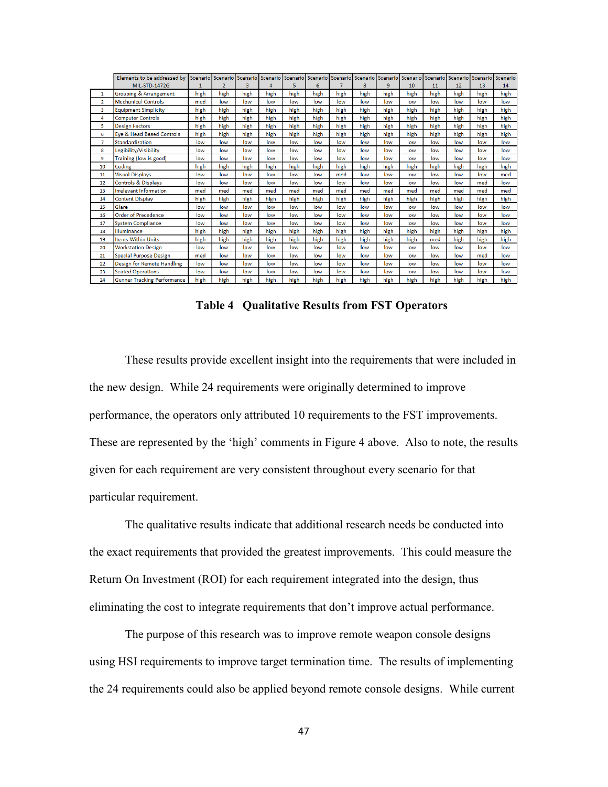|                | Elements to be addressed by        |      |                          | Scenario I Scenario I Scenario I Scenario I Scenario I Scenario I Scenario I Scenario I Scenario I Scenario |      |      |      |      |      |      |      | Scenario | Scenario |      | Scenario Scenario |
|----------------|------------------------------------|------|--------------------------|-------------------------------------------------------------------------------------------------------------|------|------|------|------|------|------|------|----------|----------|------|-------------------|
|                | <b>MIL-STD-1472G</b>               |      | $\overline{\phantom{a}}$ | 3                                                                                                           | 4    | 5    | 6    |      | 8    | 9    | 10   | 11       | 12       | 13   | 14                |
| $\mathbf{1}$   | Grouping & Arrangement             | high | high                     | high                                                                                                        | high | high | high | high | high | high | high | high     | high     | high | high              |
| $\overline{2}$ | <b>Mechanical Controls</b>         | med  | low                      | low                                                                                                         | low  | low  | low  | low  | low  | low  | low  | low      | low      | low  | low               |
| 3              | <b>Equipment Simplicity</b>        | high | high                     | high                                                                                                        | high | high | high | high | high | high | high | high     | high     | high | high              |
| 4              | <b>Computer Controls</b>           | high | high                     | high                                                                                                        | high | high | high | high | high | high | high | high     | high     | high | high              |
| 5              | <b>Design Factors</b>              | high | high                     | high                                                                                                        | high | high | high | high | high | high | high | high     | high     | high | high              |
| 6              | Eye & Head Based Controls          | high | high                     | high                                                                                                        | high | high | high | high | high | high | high | high     | high     | high | high              |
| $\overline{7}$ | Standardization                    | low  | low                      | low                                                                                                         | low  | low  | low  | low  | low  | low  | low  | low      | low      | low  | low               |
| 8              | Legibility/Visibility              | low  | low                      | low                                                                                                         | low  | low  | low  | low  | low  | low  | low  | low      | low      | low  | low               |
| 9              | Training (low is good)             | low  | low                      | low                                                                                                         | low  | low  | low  | low  | low  | low  | low  | low      | low      | low  | low               |
| 10             | Coding                             | high | high                     | high                                                                                                        | high | high | high | high | high | high | high | high     | high     | high | high              |
| 11             | <b>Visual Displays</b>             | low  | low                      | low                                                                                                         | low  | low  | low  | med  | low  | low  | low  | low      | low      | low  | med               |
| 12             | <b>Controls &amp; Displays</b>     | low  | low                      | low                                                                                                         | low  | low  | low  | low  | low  | low  | low  | low      | low      | med  | low               |
| 13             | <b>Irrelevant Information</b>      | med  | med                      | med                                                                                                         | med  | med  | med  | med  | med  | med  | med  | med      | med      | med  | med               |
| 14             | <b>Content Display</b>             | high | high                     | high                                                                                                        | high | high | high | high | high | high | high | high     | high     | high | high              |
| 15             | Glare                              | low  | low                      | low                                                                                                         | low  | low  | low  | low  | low  | low  | low  | low      | low      | low  | low               |
| 16             | <b>Order of Precedence</b>         | low  | low                      | low                                                                                                         | low  | low  | low  | low  | low  | low  | low  | low      | low      | low  | low               |
| 17             | <b>System Compliance</b>           | low  | low                      | low                                                                                                         | low  | low  | low  | low  | low  | low  | low  | low      | low      | low  | low               |
| 18             | Illuminance                        | high | high                     | high                                                                                                        | high | high | high | high | high | high | high | high     | high     | high | high              |
| 19             | <b>Items Within Units</b>          | high | high                     | high                                                                                                        | high | high | high | high | high | high | high | med      | high     | high | high              |
| 20             | <b>Workstation Design</b>          | low  | low                      | low                                                                                                         | low  | low  | low  | low  | low  | low  | low  | low      | low      | low  | low               |
| 21             | <b>Special Purpose Design</b>      | med  | low                      | low                                                                                                         | low  | low  | low  | low  | low  | low  | low  | low      | low      | med  | low               |
| 22             | <b>Design for Remote Handling</b>  | low  | low                      | low                                                                                                         | low  | low  | low  | low  | low  | low  | low  | low      | low      | low  | low               |
| 23             | <b>Seated Operations</b>           | low  | low                      | low                                                                                                         | low  | low  | low  | low  | low  | low  | low  | low      | low      | low  | low               |
| 24             | <b>Gunner Tracking Performance</b> | high | high                     | high                                                                                                        | high | high | high | high | high | high | high | high     | high     | high | high              |

**Table 4 Qualitative Results from FST Operators** 

These results provide excellent insight into the requirements that were included in the new design. While 24 requirements were originally determined to improve performance, the operators only attributed 10 requirements to the FST improvements. These are represented by the 'high' comments in Figure 4 above. Also to note, the results given for each requirement are very consistent throughout every scenario for that particular requirement.

The qualitative results indicate that additional research needs be conducted into the exact requirements that provided the greatest improvements. This could measure the Return On Investment (ROI) for each requirement integrated into the design, thus eliminating the cost to integrate requirements that don't improve actual performance.

The purpose of this research was to improve remote weapon console designs using HSI requirements to improve target termination time. The results of implementing the 24 requirements could also be applied beyond remote console designs. While current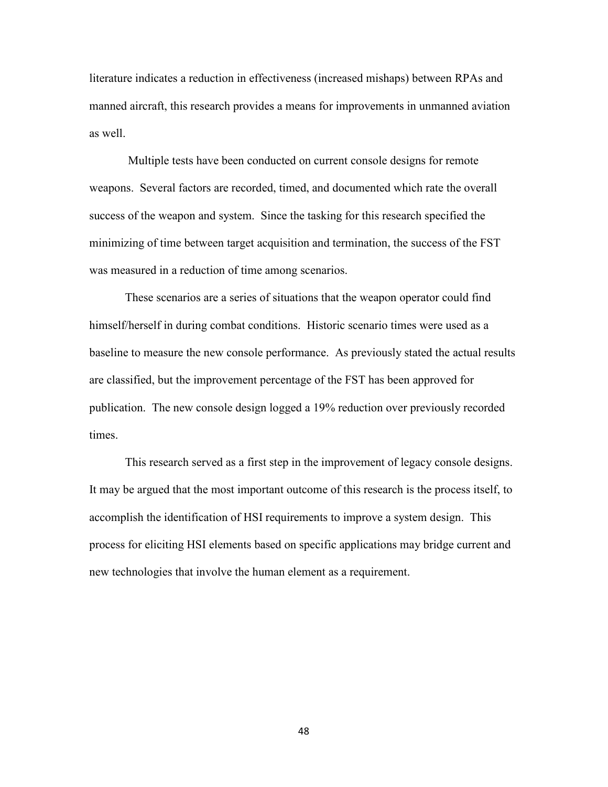literature indicates a reduction in effectiveness (increased mishaps) between RPAs and manned aircraft, this research provides a means for improvements in unmanned aviation as well.

 Multiple tests have been conducted on current console designs for remote weapons. Several factors are recorded, timed, and documented which rate the overall success of the weapon and system. Since the tasking for this research specified the minimizing of time between target acquisition and termination, the success of the FST was measured in a reduction of time among scenarios.

 These scenarios are a series of situations that the weapon operator could find himself/herself in during combat conditions. Historic scenario times were used as a baseline to measure the new console performance. As previously stated the actual results are classified, but the improvement percentage of the FST has been approved for publication. The new console design logged a 19% reduction over previously recorded times.

 This research served as a first step in the improvement of legacy console designs. It may be argued that the most important outcome of this research is the process itself, to accomplish the identification of HSI requirements to improve a system design. This process for eliciting HSI elements based on specific applications may bridge current and new technologies that involve the human element as a requirement.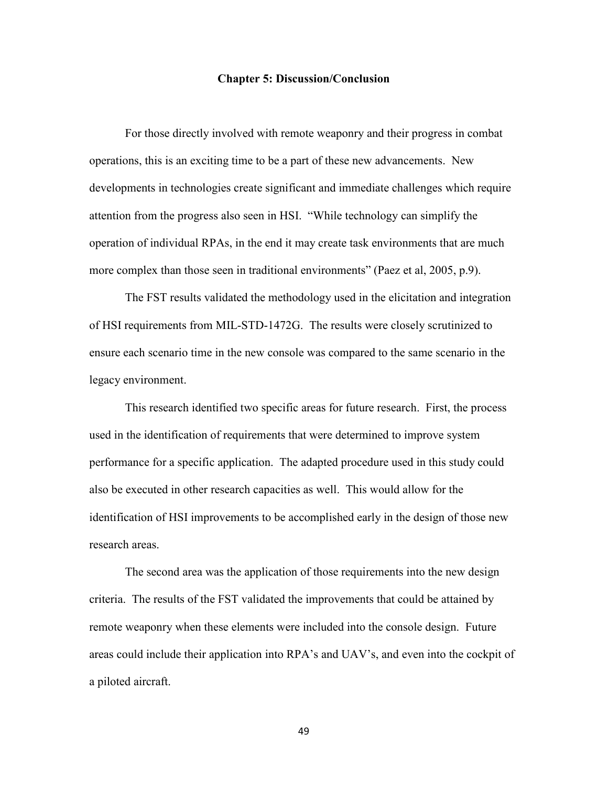#### **Chapter 5: Discussion/Conclusion**

 For those directly involved with remote weaponry and their progress in combat operations, this is an exciting time to be a part of these new advancements. New developments in technologies create significant and immediate challenges which require attention from the progress also seen in HSI. "While technology can simplify the operation of individual RPAs, in the end it may create task environments that are much more complex than those seen in traditional environments" (Paez et al, 2005, p.9).

 The FST results validated the methodology used in the elicitation and integration of HSI requirements from MIL-STD-1472G. The results were closely scrutinized to ensure each scenario time in the new console was compared to the same scenario in the legacy environment.

This research identified two specific areas for future research. First, the process used in the identification of requirements that were determined to improve system performance for a specific application. The adapted procedure used in this study could also be executed in other research capacities as well. This would allow for the identification of HSI improvements to be accomplished early in the design of those new research areas.

The second area was the application of those requirements into the new design criteria. The results of the FST validated the improvements that could be attained by remote weaponry when these elements were included into the console design. Future areas could include their application into RPA's and UAV's, and even into the cockpit of a piloted aircraft.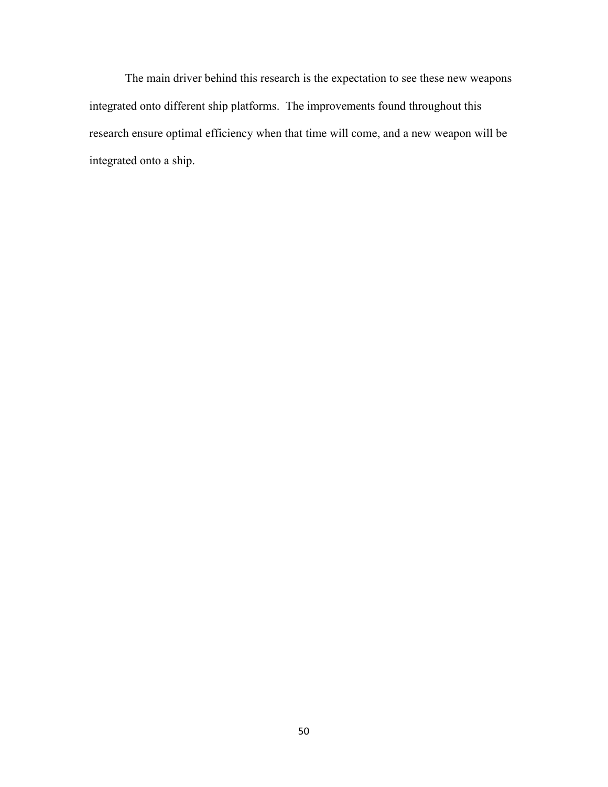The main driver behind this research is the expectation to see these new weapons integrated onto different ship platforms. The improvements found throughout this research ensure optimal efficiency when that time will come, and a new weapon will be integrated onto a ship.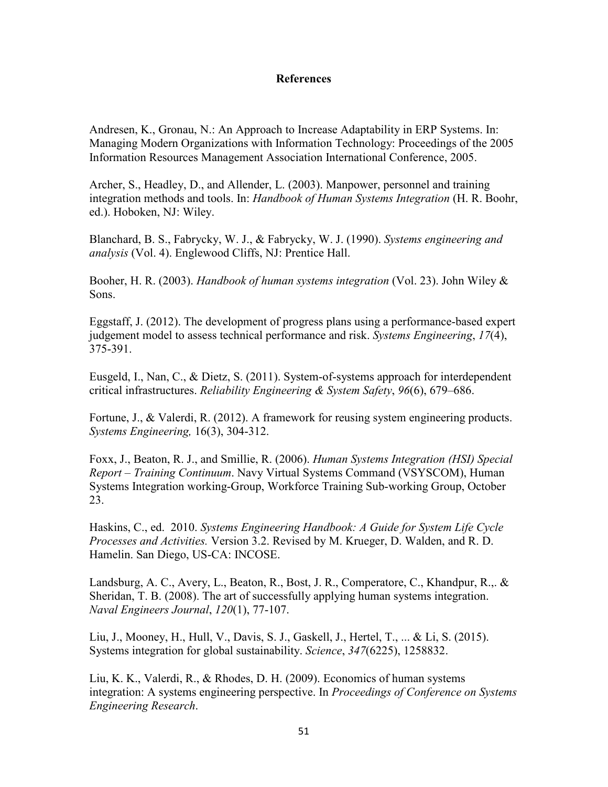# **References**

Andresen, K., Gronau, N.: An Approach to Increase Adaptability in ERP Systems. In: Managing Modern Organizations with Information Technology: Proceedings of the 2005 Information Resources Management Association International Conference, 2005.

Archer, S., Headley, D., and Allender, L. (2003). Manpower, personnel and training integration methods and tools. In: *Handbook of Human Systems Integration* (H. R. Boohr, ed.). Hoboken, NJ: Wiley.

Blanchard, B. S., Fabrycky, W. J., & Fabrycky, W. J. (1990). *Systems engineering and analysis* (Vol. 4). Englewood Cliffs, NJ: Prentice Hall.

Booher, H. R. (2003). *Handbook of human systems integration* (Vol. 23). John Wiley & Sons.

Eggstaff, J. (2012). The development of progress plans using a performance-based expert judgement model to assess technical performance and risk. *Systems Engineering*, *17*(4), 375-391.

Eusgeld, I., Nan, C., & Dietz, S. (2011). System-of-systems approach for interdependent critical infrastructures. *Reliability Engineering & System Safety*, *96*(6), 679–686.

Fortune, J., & Valerdi, R. (2012). A framework for reusing system engineering products. *Systems Engineering,* 16(3), 304-312.

Foxx, J., Beaton, R. J., and Smillie, R. (2006). *Human Systems Integration (HSI) Special Report – Training Continuum*. Navy Virtual Systems Command (VSYSCOM), Human Systems Integration working-Group, Workforce Training Sub-working Group, October 23.

Haskins, C., ed. 2010. *Systems Engineering Handbook: A Guide for System Life Cycle Processes and Activities.* Version 3.2. Revised by M. Krueger, D. Walden, and R. D. Hamelin. San Diego, US-CA: INCOSE.

Landsburg, A. C., Avery, L., Beaton, R., Bost, J. R., Comperatore, C., Khandpur, R.,. & Sheridan, T. B. (2008). The art of successfully applying human systems integration. *Naval Engineers Journal*, *120*(1), 77-107.

Liu, J., Mooney, H., Hull, V., Davis, S. J., Gaskell, J., Hertel, T., ... & Li, S. (2015). Systems integration for global sustainability. *Science*, *347*(6225), 1258832.

Liu, K. K., Valerdi, R., & Rhodes, D. H. (2009). Economics of human systems integration: A systems engineering perspective. In *Proceedings of Conference on Systems Engineering Research*.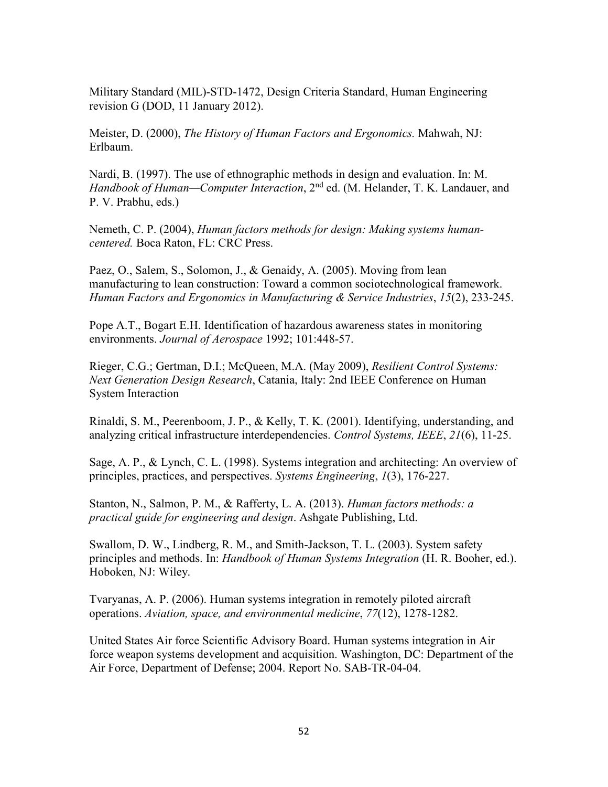Military Standard (MIL)-STD-1472, Design Criteria Standard, Human Engineering revision G (DOD, 11 January 2012).

Meister, D. (2000), *The History of Human Factors and Ergonomics.* Mahwah, NJ: Erlbaum.

Nardi, B. (1997). The use of ethnographic methods in design and evaluation. In: M. *Handbook of Human—Computer Interaction*, 2nd ed. (M. Helander, T. K. Landauer, and P. V. Prabhu, eds.)

Nemeth, C. P. (2004), *Human factors methods for design: Making systems humancentered.* Boca Raton, FL: CRC Press.

Paez, O., Salem, S., Solomon, J., & Genaidy, A. (2005). Moving from lean manufacturing to lean construction: Toward a common sociotechnological framework. *Human Factors and Ergonomics in Manufacturing & Service Industries*, *15*(2), 233-245.

Pope A.T., Bogart E.H. Identification of hazardous awareness states in monitoring environments. *Journal of Aerospace* 1992; 101:448-57.

Rieger, C.G.; Gertman, D.I.; McQueen, M.A. (May 2009), *Resilient Control Systems: Next Generation Design Research*, Catania, Italy: 2nd IEEE Conference on Human System Interaction

Rinaldi, S. M., Peerenboom, J. P., & Kelly, T. K. (2001). Identifying, understanding, and analyzing critical infrastructure interdependencies. *Control Systems, IEEE*, *21*(6), 11-25.

Sage, A. P., & Lynch, C. L. (1998). Systems integration and architecting: An overview of principles, practices, and perspectives. *Systems Engineering*, *1*(3), 176-227.

Stanton, N., Salmon, P. M., & Rafferty, L. A. (2013). *Human factors methods: a practical guide for engineering and design*. Ashgate Publishing, Ltd.

Swallom, D. W., Lindberg, R. M., and Smith-Jackson, T. L. (2003). System safety principles and methods. In: *Handbook of Human Systems Integration* (H. R. Booher, ed.). Hoboken, NJ: Wiley.

Tvaryanas, A. P. (2006). Human systems integration in remotely piloted aircraft operations. *Aviation, space, and environmental medicine*, *77*(12), 1278-1282.

United States Air force Scientific Advisory Board. Human systems integration in Air force weapon systems development and acquisition. Washington, DC: Department of the Air Force, Department of Defense; 2004. Report No. SAB-TR-04-04.